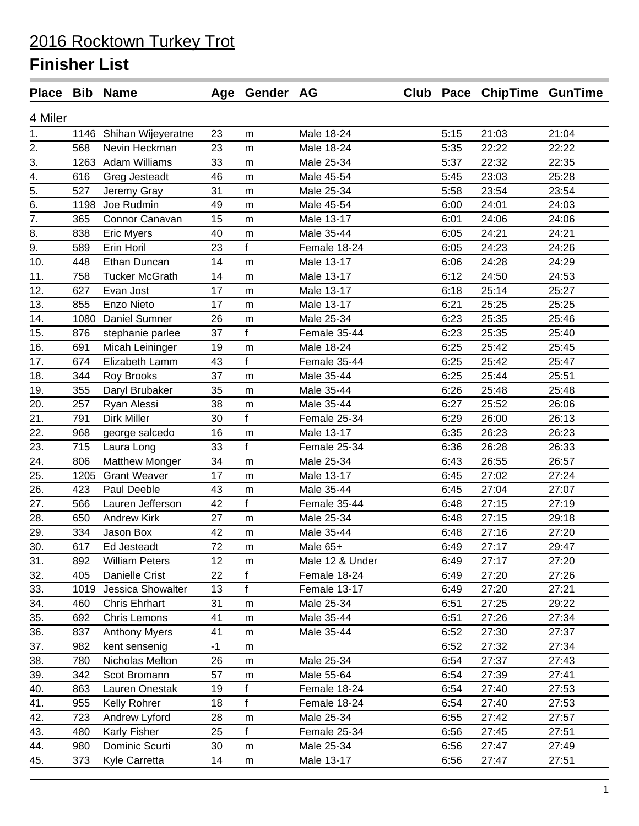#### 2016 Rocktown Turkey Trot **Finisher List**

|                  |      | Place Bib Name          |      | Age Gender AG |                 |      | Club Pace ChipTime GunTime |       |
|------------------|------|-------------------------|------|---------------|-----------------|------|----------------------------|-------|
| 4 Miler          |      |                         |      |               |                 |      |                            |       |
| 1.               |      | 1146 Shihan Wijeyeratne | 23   | m             | Male 18-24      | 5:15 | 21:03                      | 21:04 |
| 2.               | 568  | Nevin Heckman           | 23   | m             | Male 18-24      | 5:35 | 22:22                      | 22:22 |
| 3.               | 1263 | <b>Adam Williams</b>    | 33   | m             | Male 25-34      | 5:37 | 22:32                      | 22:35 |
| 4.               | 616  | Greg Jesteadt           | 46   | m             | Male 45-54      | 5:45 | 23:03                      | 25:28 |
| $\overline{5}$ . | 527  | Jeremy Gray             | 31   | m             | Male 25-34      | 5:58 | 23:54                      | 23:54 |
| 6.               | 1198 | Joe Rudmin              | 49   | m             | Male 45-54      | 6:00 | 24:01                      | 24:03 |
| 7.               | 365  | Connor Canavan          | 15   | m             | Male 13-17      | 6:01 | 24:06                      | 24:06 |
| 8.               | 838  | <b>Eric Myers</b>       | 40   | m             | Male 35-44      | 6:05 | 24:21                      | 24:21 |
| 9.               | 589  | Erin Horil              | 23   | f             | Female 18-24    | 6:05 | 24:23                      | 24:26 |
| 10.              | 448  | Ethan Duncan            | 14   | m             | Male 13-17      | 6:06 | 24:28                      | 24:29 |
| 11.              | 758  | <b>Tucker McGrath</b>   | 14   | m             | Male 13-17      | 6:12 | 24:50                      | 24:53 |
| 12.              | 627  | Evan Jost               | 17   | m             | Male 13-17      | 6:18 | 25:14                      | 25:27 |
| 13.              | 855  | Enzo Nieto              | 17   | m             | Male 13-17      | 6:21 | 25:25                      | 25:25 |
| 14.              | 1080 | Daniel Sumner           | 26   | m             | Male 25-34      | 6:23 | 25:35                      | 25:46 |
| 15.              | 876  | stephanie parlee        | 37   | f             | Female 35-44    | 6:23 | 25:35                      | 25:40 |
| 16.              | 691  | Micah Leininger         | 19   | m             | Male 18-24      | 6:25 | 25:42                      | 25:45 |
| 17.              | 674  | Elizabeth Lamm          | 43   | f             | Female 35-44    | 6:25 | 25:42                      | 25:47 |
| 18.              | 344  | <b>Roy Brooks</b>       | 37   | m             | Male 35-44      | 6:25 | 25:44                      | 25:51 |
| 19.              | 355  | Daryl Brubaker          | 35   | m             | Male 35-44      | 6:26 | 25:48                      | 25:48 |
| 20.              | 257  | Ryan Alessi             | 38   | m             | Male 35-44      | 6:27 | 25:52                      | 26:06 |
| 21.              | 791  | <b>Dirk Miller</b>      | 30   | f             | Female 25-34    | 6:29 | 26:00                      | 26:13 |
| 22.              | 968  | george salcedo          | 16   | m             | Male 13-17      | 6:35 | 26:23                      | 26:23 |
| 23.              | 715  | Laura Long              | 33   | $\mathbf{f}$  | Female 25-34    | 6:36 | 26:28                      | 26:33 |
| 24.              | 806  | <b>Matthew Monger</b>   | 34   | m             | Male 25-34      | 6:43 | 26:55                      | 26:57 |
| 25.              | 1205 | <b>Grant Weaver</b>     | 17   | m             | Male 13-17      | 6:45 | 27:02                      | 27:24 |
| 26.              | 423  | Paul Deeble             | 43   | m             | Male 35-44      | 6:45 | 27:04                      | 27:07 |
| 27.              | 566  | Lauren Jefferson        | 42   | f             | Female 35-44    | 6:48 | 27:15                      | 27:19 |
| 28.              | 650  | <b>Andrew Kirk</b>      | 27   | m             | Male 25-34      | 6:48 | 27:15                      | 29:18 |
| 29.              | 334  | Jason Box               | 42   | m             | Male 35-44      | 6:48 | 27:16                      | 27:20 |
| 30.              | 617  | Ed Jesteadt             | 72   | m             | Male 65+        | 6:49 | 27:17                      | 29:47 |
| 31.              | 892  | <b>William Peters</b>   | 12   | m             | Male 12 & Under | 6:49 | 27:17                      | 27:20 |
| 32.              | 405  | Danielle Crist          | 22   | f             | Female 18-24    | 6:49 | 27:20                      | 27:26 |
| 33.              | 1019 | Jessica Showalter       | 13   | f             | Female 13-17    | 6:49 | 27:20                      | 27:21 |
| 34.              | 460  | <b>Chris Ehrhart</b>    | 31   | m             | Male 25-34      | 6:51 | 27:25                      | 29:22 |
| 35.              | 692  | <b>Chris Lemons</b>     | 41   | m             | Male 35-44      | 6:51 | 27:26                      | 27:34 |
| 36.              | 837  | <b>Anthony Myers</b>    | 41   | m             | Male 35-44      | 6:52 | 27:30                      | 27:37 |
| 37.              | 982  | kent sensenig           | $-1$ | m             |                 | 6:52 | 27:32                      | 27:34 |
| 38.              | 780  | Nicholas Melton         | 26   | m             | Male 25-34      | 6:54 | 27:37                      | 27:43 |
| 39.              | 342  | Scot Bromann            | 57   | m             | Male 55-64      | 6:54 | 27:39                      | 27:41 |
| 40.              | 863  | Lauren Onestak          | 19   | f             | Female 18-24    | 6:54 | 27:40                      | 27:53 |
| 41.              | 955  | Kelly Rohrer            | 18   | f             | Female 18-24    | 6:54 | 27:40                      | 27:53 |
| 42.              | 723  | Andrew Lyford           | 28   | m             | Male 25-34      | 6:55 | 27:42                      | 27:57 |
| 43.              | 480  | Karly Fisher            | 25   | $\mathbf{f}$  | Female 25-34    | 6:56 | 27:45                      | 27:51 |
| 44.              | 980  | Dominic Scurti          | 30   | m             | Male 25-34      | 6:56 | 27:47                      | 27:49 |
| 45.              | 373  | Kyle Carretta           | 14   | m             | Male 13-17      | 6:56 | 27:47                      | 27:51 |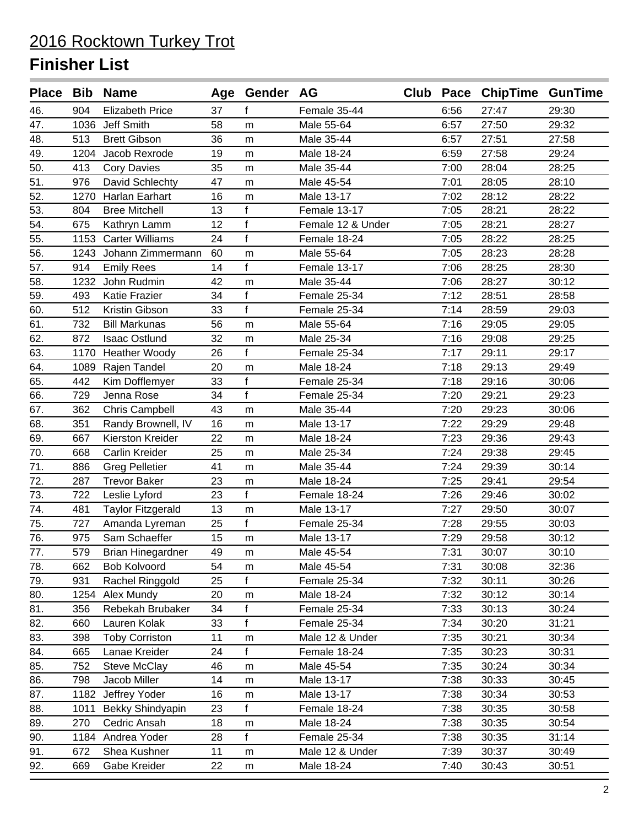|     |      | Place Bib Name           |    | Age Gender AG |                   |      | Club Pace ChipTime GunTime |       |
|-----|------|--------------------------|----|---------------|-------------------|------|----------------------------|-------|
| 46. | 904  | <b>Elizabeth Price</b>   | 37 | f             | Female 35-44      | 6:56 | 27:47                      | 29:30 |
| 47. | 1036 | Jeff Smith               | 58 | m             | Male 55-64        | 6:57 | 27:50                      | 29:32 |
| 48. | 513  | <b>Brett Gibson</b>      | 36 | m             | Male 35-44        | 6:57 | 27:51                      | 27:58 |
| 49. | 1204 | Jacob Rexrode            | 19 | ${\sf m}$     | Male 18-24        | 6:59 | 27:58                      | 29:24 |
| 50. | 413  | <b>Cory Davies</b>       | 35 | ${\sf m}$     | Male 35-44        | 7:00 | 28:04                      | 28:25 |
| 51. | 976  | David Schlechty          | 47 | m             | Male 45-54        | 7:01 | 28:05                      | 28:10 |
| 52. |      | 1270 Harlan Earhart      | 16 | m             | Male 13-17        | 7:02 | 28:12                      | 28:22 |
| 53. | 804  | <b>Bree Mitchell</b>     | 13 | f             | Female 13-17      | 7:05 | 28:21                      | 28:22 |
| 54. | 675  | Kathryn Lamm             | 12 | $\mathsf{f}$  | Female 12 & Under | 7:05 | 28:21                      | 28:27 |
| 55. | 1153 | <b>Carter Williams</b>   | 24 | f             | Female 18-24      | 7:05 | 28:22                      | 28:25 |
| 56. | 1243 | Johann Zimmermann        | 60 | m             | Male 55-64        | 7:05 | 28:23                      | 28:28 |
| 57. | 914  | <b>Emily Rees</b>        | 14 | f             | Female 13-17      | 7:06 | 28:25                      | 28:30 |
| 58. | 1232 | John Rudmin              | 42 | m             | Male 35-44        | 7:06 | 28:27                      | 30:12 |
| 59. | 493  | Katie Frazier            | 34 | f             | Female 25-34      | 7:12 | 28:51                      | 28:58 |
| 60. | 512  | Kristin Gibson           | 33 | $\mathsf{f}$  | Female 25-34      | 7:14 | 28:59                      | 29:03 |
| 61. | 732  | <b>Bill Markunas</b>     | 56 | m             | Male 55-64        | 7:16 | 29:05                      | 29:05 |
| 62. | 872  | <b>Isaac Ostlund</b>     | 32 | m             | Male 25-34        | 7:16 | 29:08                      | 29:25 |
| 63. | 1170 | <b>Heather Woody</b>     | 26 | f             | Female 25-34      | 7:17 | 29:11                      | 29:17 |
| 64. | 1089 | Rajen Tandel             | 20 | m             | Male 18-24        | 7:18 | 29:13                      | 29:49 |
| 65. | 442  | Kim Dofflemyer           | 33 | f             | Female 25-34      | 7:18 | 29:16                      | 30:06 |
| 66. | 729  | Jenna Rose               | 34 | f             | Female 25-34      | 7:20 | 29:21                      | 29:23 |
| 67. | 362  | <b>Chris Campbell</b>    | 43 | m             | Male 35-44        | 7:20 | 29:23                      | 30:06 |
| 68. | 351  | Randy Brownell, IV       | 16 | m             | Male 13-17        | 7:22 | 29:29                      | 29:48 |
| 69. | 667  | Kierston Kreider         | 22 | m             | Male 18-24        | 7:23 | 29:36                      | 29:43 |
| 70. | 668  | Carlin Kreider           | 25 | m             | Male 25-34        | 7:24 | 29:38                      | 29:45 |
| 71. | 886  | <b>Greg Pelletier</b>    | 41 | m             | Male 35-44        | 7:24 | 29:39                      | 30:14 |
| 72. | 287  | <b>Trevor Baker</b>      | 23 | ${\sf m}$     | Male 18-24        | 7:25 | 29:41                      | 29:54 |
| 73. | 722  | Leslie Lyford            | 23 | f             | Female 18-24      | 7:26 | 29:46                      | 30:02 |
| 74. | 481  | <b>Taylor Fitzgerald</b> | 13 | m             | Male 13-17        | 7:27 | 29:50                      | 30:07 |
| 75. | 727  | Amanda Lyreman           | 25 | f             | Female 25-34      | 7:28 | 29:55                      | 30:03 |
| 76. | 975  | Sam Schaeffer            | 15 | m             | Male 13-17        | 7:29 | 29:58                      | 30:12 |
| 77. | 579  | Brian Hinegardner        | 49 | m             | Male 45-54        | 7:31 | 30:07                      | 30:10 |
| 78. | 662  | <b>Bob Kolvoord</b>      | 54 | m             | Male 45-54        | 7:31 | 30:08                      | 32:36 |
| 79. | 931  | Rachel Ringgold          | 25 | f             | Female 25-34      | 7:32 | 30:11                      | 30:26 |
| 80. | 1254 | Alex Mundy               | 20 | m             | Male 18-24        | 7:32 | 30:12                      | 30:14 |
| 81. | 356  | Rebekah Brubaker         | 34 | f             | Female 25-34      | 7:33 | 30:13                      | 30:24 |
| 82. | 660  | Lauren Kolak             | 33 | f             | Female 25-34      | 7:34 | 30:20                      | 31:21 |
| 83. | 398  | <b>Toby Corriston</b>    | 11 | m             | Male 12 & Under   | 7:35 | 30:21                      | 30:34 |
| 84. | 665  | Lanae Kreider            | 24 | f             | Female 18-24      | 7:35 | 30:23                      | 30:31 |
| 85. | 752  | <b>Steve McClay</b>      | 46 | m             | Male 45-54        | 7:35 | 30:24                      | 30:34 |
| 86. | 798  | Jacob Miller             | 14 | m             | Male 13-17        | 7:38 | 30:33                      | 30:45 |
| 87. | 1182 | Jeffrey Yoder            | 16 | m             | Male 13-17        | 7:38 | 30:34                      | 30:53 |
| 88. | 1011 | Bekky Shindyapin         | 23 | f             | Female 18-24      | 7:38 | 30:35                      | 30:58 |
| 89. | 270  | Cedric Ansah             | 18 | m             | Male 18-24        | 7:38 | 30:35                      | 30:54 |
| 90. |      | 1184 Andrea Yoder        | 28 | f             | Female 25-34      | 7:38 | 30:35                      | 31:14 |
| 91. | 672  | Shea Kushner             | 11 | m             | Male 12 & Under   | 7:39 | 30:37                      | 30:49 |
| 92. | 669  | Gabe Kreider             | 22 | m             | Male 18-24        | 7:40 | 30:43                      | 30:51 |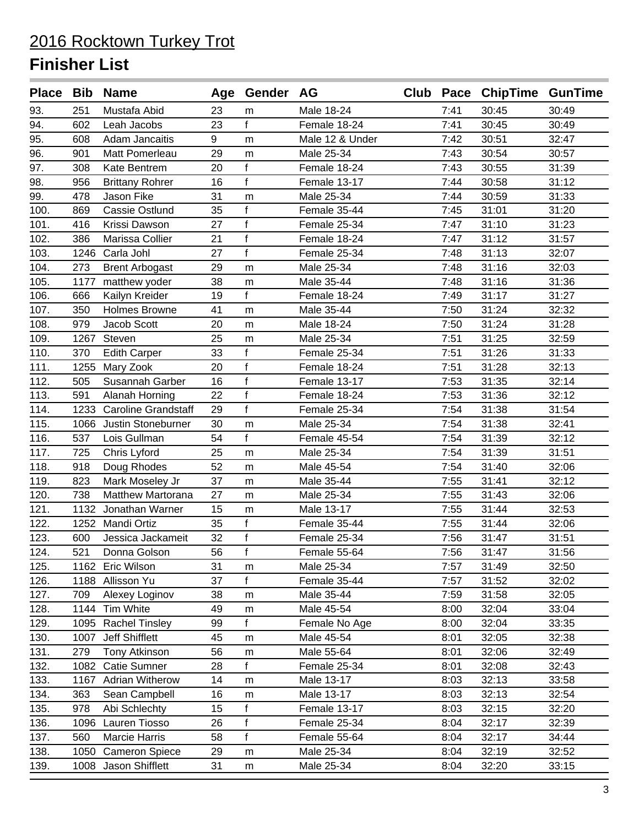|      |      | Place Bib Name           |    | Age Gender AG |                 |      | Club Pace ChipTime GunTime |       |
|------|------|--------------------------|----|---------------|-----------------|------|----------------------------|-------|
| 93.  | 251  | Mustafa Abid             | 23 | m             | Male 18-24      | 7:41 | 30:45                      | 30:49 |
| 94.  | 602  | Leah Jacobs              | 23 | $\mathbf{f}$  | Female 18-24    | 7:41 | 30:45                      | 30:49 |
| 95.  | 608  | Adam Jancaitis           | 9  | m             | Male 12 & Under | 7:42 | 30:51                      | 32:47 |
| 96.  | 901  | Matt Pomerleau           | 29 | m             | Male 25-34      | 7:43 | 30:54                      | 30:57 |
| 97.  | 308  | Kate Bentrem             | 20 | f             | Female 18-24    | 7:43 | 30:55                      | 31:39 |
| 98.  | 956  | <b>Brittany Rohrer</b>   | 16 | f             | Female 13-17    | 7:44 | 30:58                      | 31:12 |
| 99.  | 478  | Jason Fike               | 31 | m             | Male 25-34      | 7:44 | 30:59                      | 31:33 |
| 100. | 869  | <b>Cassie Ostlund</b>    | 35 | f             | Female 35-44    | 7:45 | 31:01                      | 31:20 |
| 101. | 416  | Krissi Dawson            | 27 | $\mathsf{f}$  | Female 25-34    | 7:47 | 31:10                      | 31:23 |
| 102. | 386  | Marissa Collier          | 21 | f             | Female 18-24    | 7:47 | 31:12                      | 31:57 |
| 103. | 1246 | Carla Johl               | 27 | $\mathsf{f}$  | Female 25-34    | 7:48 | 31:13                      | 32:07 |
| 104. | 273  | <b>Brent Arbogast</b>    | 29 | m             | Male 25-34      | 7:48 | 31:16                      | 32:03 |
| 105. | 1177 | matthew yoder            | 38 | m             | Male 35-44      | 7:48 | 31:16                      | 31:36 |
| 106. | 666  | Kailyn Kreider           | 19 | f             | Female 18-24    | 7:49 | 31:17                      | 31:27 |
| 107. | 350  | <b>Holmes Browne</b>     | 41 | m             | Male 35-44      | 7:50 | 31:24                      | 32:32 |
| 108. | 979  | Jacob Scott              | 20 | m             | Male 18-24      | 7:50 | 31:24                      | 31:28 |
| 109. | 1267 | Steven                   | 25 | m             | Male 25-34      | 7:51 | 31:25                      | 32:59 |
| 110. | 370  | <b>Edith Carper</b>      | 33 | $\mathsf{f}$  | Female 25-34    | 7:51 | 31:26                      | 31:33 |
| 111. | 1255 | Mary Zook                | 20 | $\mathsf{f}$  | Female 18-24    | 7:51 | 31:28                      | 32:13 |
| 112. | 505  | Susannah Garber          | 16 | $\mathsf{f}$  | Female 13-17    | 7:53 | 31:35                      | 32:14 |
| 113. | 591  | Alanah Horning           | 22 | f             | Female 18-24    | 7:53 | 31:36                      | 32:12 |
| 114. |      | 1233 Caroline Grandstaff | 29 | f             | Female 25-34    | 7:54 | 31:38                      | 31:54 |
| 115. | 1066 | Justin Stoneburner       | 30 | m             | Male 25-34      | 7:54 | 31:38                      | 32:41 |
| 116. | 537  | Lois Gullman             | 54 | f             | Female 45-54    | 7:54 | 31:39                      | 32:12 |
| 117. | 725  | Chris Lyford             | 25 | m             | Male 25-34      | 7:54 | 31:39                      | 31:51 |
| 118. | 918  | Doug Rhodes              | 52 | m             | Male 45-54      | 7:54 | 31:40                      | 32:06 |
| 119. | 823  | Mark Moseley Jr          | 37 | ${\sf m}$     | Male 35-44      | 7:55 | 31:41                      | 32:12 |
| 120. | 738  | <b>Matthew Martorana</b> | 27 | m             | Male 25-34      | 7:55 | 31:43                      | 32:06 |
| 121. | 1132 | Jonathan Warner          | 15 | m             | Male 13-17      | 7:55 | 31:44                      | 32:53 |
| 122. |      | 1252 Mandi Ortiz         | 35 | $\mathsf{f}$  | Female 35-44    | 7:55 | 31:44                      | 32:06 |
| 123. | 600  | Jessica Jackameit        | 32 | $\mathsf f$   | Female 25-34    | 7:56 | 31:47                      | 31:51 |
| 124. | 521  | Donna Golson             | 56 | f             | Female 55-64    | 7:56 | 31:47                      | 31:56 |
| 125. |      | 1162 Eric Wilson         | 31 | m             | Male 25-34      | 7:57 | 31:49                      | 32:50 |
| 126. |      | 1188 Allisson Yu         | 37 | f             | Female 35-44    | 7:57 | 31:52                      | 32:02 |
| 127. | 709  | Alexey Loginov           | 38 | m             | Male 35-44      | 7:59 | 31:58                      | 32:05 |
| 128. |      | 1144 Tim White           | 49 | m             | Male 45-54      | 8:00 | 32:04                      | 33:04 |
| 129. |      | 1095 Rachel Tinsley      | 99 | f             | Female No Age   | 8:00 | 32:04                      | 33:35 |
| 130. | 1007 | Jeff Shifflett           | 45 | m             | Male 45-54      | 8:01 | 32:05                      | 32:38 |
| 131. | 279  | <b>Tony Atkinson</b>     | 56 | m             | Male 55-64      | 8:01 | 32:06                      | 32:49 |
| 132. |      | 1082 Catie Sumner        | 28 | f             | Female 25-34    | 8:01 | 32:08                      | 32:43 |
| 133. |      | 1167 Adrian Witherow     | 14 | m             | Male 13-17      | 8:03 | 32:13                      | 33:58 |
| 134. | 363  | Sean Campbell            | 16 | m             | Male 13-17      | 8:03 | 32:13                      | 32:54 |
| 135. | 978  | Abi Schlechty            | 15 | f             | Female 13-17    | 8:03 | 32:15                      | 32:20 |
| 136. | 1096 | Lauren Tiosso            | 26 | $\mathsf{f}$  | Female 25-34    | 8:04 | 32:17                      | 32:39 |
| 137. | 560  | <b>Marcie Harris</b>     | 58 | f             | Female 55-64    | 8:04 | 32:17                      | 34:44 |
| 138. |      | 1050 Cameron Spiece      | 29 | m             | Male 25-34      | 8:04 | 32:19                      | 32:52 |
| 139. |      | 1008 Jason Shifflett     | 31 | m             | Male 25-34      | 8:04 | 32:20                      | 33:15 |
|      |      |                          |    |               |                 |      |                            |       |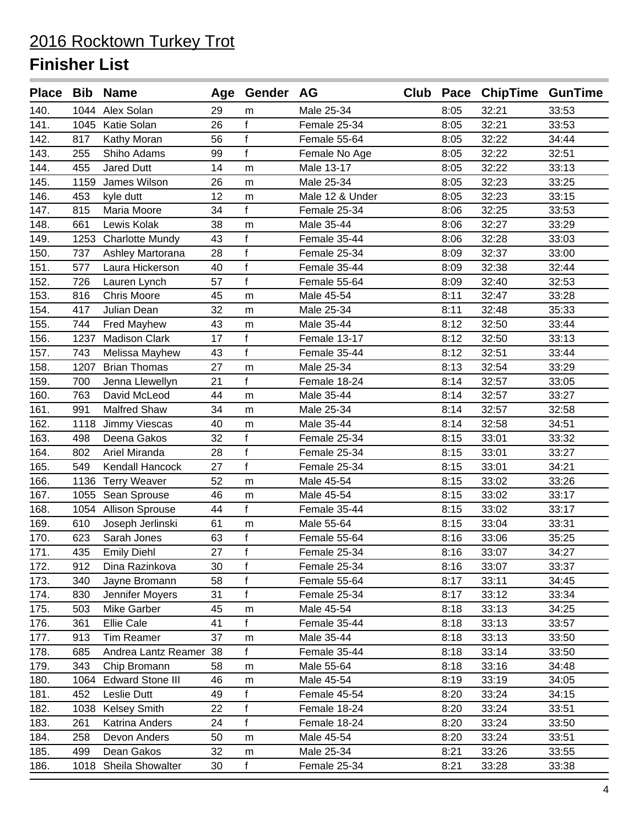|      |      | Place Bib Name         |    | Age Gender AG |                 |      | Club Pace ChipTime GunTime |       |
|------|------|------------------------|----|---------------|-----------------|------|----------------------------|-------|
| 140. |      | 1044 Alex Solan        | 29 | m             | Male 25-34      | 8:05 | 32:21                      | 33:53 |
| 141. |      | 1045 Katie Solan       | 26 | $\mathsf f$   | Female 25-34    | 8:05 | 32:21                      | 33:53 |
| 142. | 817  | Kathy Moran            | 56 | $\mathsf{f}$  | Female 55-64    | 8:05 | 32:22                      | 34:44 |
| 143. | 255  | Shiho Adams            | 99 | f             | Female No Age   | 8:05 | 32:22                      | 32:51 |
| 144. | 455  | Jared Dutt             | 14 | m             | Male 13-17      | 8:05 | 32:22                      | 33:13 |
| 145. | 1159 | James Wilson           | 26 | m             | Male 25-34      | 8:05 | 32:23                      | 33:25 |
| 146. | 453  | kyle dutt              | 12 | m             | Male 12 & Under | 8:05 | 32:23                      | 33:15 |
| 147. | 815  | Maria Moore            | 34 | f             | Female 25-34    | 8:06 | 32:25                      | 33:53 |
| 148. | 661  | Lewis Kolak            | 38 | m             | Male 35-44      | 8:06 | 32:27                      | 33:29 |
| 149. | 1253 | <b>Charlotte Mundy</b> | 43 | f             | Female 35-44    | 8:06 | 32:28                      | 33:03 |
| 150. | 737  | Ashley Martorana       | 28 | $\mathsf f$   | Female 25-34    | 8:09 | 32:37                      | 33:00 |
| 151. | 577  | Laura Hickerson        | 40 | $\mathsf{f}$  | Female 35-44    | 8:09 | 32:38                      | 32:44 |
| 152. | 726  | Lauren Lynch           | 57 | f             | Female 55-64    | 8:09 | 32:40                      | 32:53 |
| 153. | 816  | <b>Chris Moore</b>     | 45 | m             | Male 45-54      | 8:11 | 32:47                      | 33:28 |
| 154. | 417  | Julian Dean            | 32 | m             | Male 25-34      | 8:11 | 32:48                      | 35:33 |
| 155. | 744  | <b>Fred Mayhew</b>     | 43 | m             | Male 35-44      | 8:12 | 32:50                      | 33:44 |
| 156. | 1237 | <b>Madison Clark</b>   | 17 | f             | Female 13-17    | 8:12 | 32:50                      | 33:13 |
| 157. | 743  | Melissa Mayhew         | 43 | $\mathsf{f}$  | Female 35-44    | 8:12 | 32:51                      | 33:44 |
| 158. | 1207 | <b>Brian Thomas</b>    | 27 | m             | Male 25-34      | 8:13 | 32:54                      | 33:29 |
| 159. | 700  | Jenna Llewellyn        | 21 | f             | Female 18-24    | 8:14 | 32:57                      | 33:05 |
| 160. | 763  | David McLeod           | 44 | m             | Male 35-44      | 8:14 | 32:57                      | 33:27 |
| 161. | 991  | <b>Malfred Shaw</b>    | 34 | m             | Male 25-34      | 8:14 | 32:57                      | 32:58 |
| 162. | 1118 | Jimmy Viescas          | 40 | m             | Male 35-44      | 8:14 | 32:58                      | 34:51 |
| 163. | 498  | Deena Gakos            | 32 | $\mathsf{f}$  | Female 25-34    | 8:15 | 33:01                      | 33:32 |
| 164. | 802  | Ariel Miranda          | 28 | $\mathsf{f}$  | Female 25-34    | 8:15 | 33:01                      | 33:27 |
| 165. | 549  | Kendall Hancock        | 27 | f             | Female 25-34    | 8:15 | 33:01                      | 34:21 |
| 166. |      | 1136 Terry Weaver      | 52 | m             | Male 45-54      | 8:15 | 33:02                      | 33:26 |
| 167. |      | 1055 Sean Sprouse      | 46 | m             | Male 45-54      | 8:15 | 33:02                      | 33:17 |
| 168. |      | 1054 Allison Sprouse   | 44 | f             | Female 35-44    | 8:15 | 33:02                      | 33:17 |
| 169. | 610  | Joseph Jerlinski       | 61 | m             | Male 55-64      | 8:15 | 33:04                      | 33:31 |
| 170. | 623  | Sarah Jones            | 63 | $\mathsf f$   | Female 55-64    | 8:16 | 33:06                      | 35:25 |
| 171. | 435  | <b>Emily Diehl</b>     | 27 | f             | Female 25-34    | 8:16 | 33:07                      | 34:27 |
| 172. | 912  | Dina Razinkova         | 30 | f             | Female 25-34    | 8:16 | 33:07                      | 33:37 |
| 173. | 340  | Jayne Bromann          | 58 | f             | Female 55-64    | 8:17 | 33:11                      | 34:45 |
| 174. | 830  | Jennifer Moyers        | 31 | f             | Female 25-34    | 8:17 | 33:12                      | 33:34 |
| 175. | 503  | Mike Garber            | 45 | m             | Male 45-54      | 8:18 | 33:13                      | 34:25 |
| 176. | 361  | Ellie Cale             | 41 | f             | Female 35-44    | 8:18 | 33:13                      | 33:57 |
| 177. | 913  | <b>Tim Reamer</b>      | 37 | m             | Male 35-44      | 8:18 | 33:13                      | 33:50 |
| 178. | 685  | Andrea Lantz Reamer 38 |    | f             | Female 35-44    | 8:18 | 33:14                      | 33:50 |
| 179. | 343  | Chip Bromann           | 58 | m             | Male 55-64      | 8:18 | 33:16                      | 34:48 |
| 180. |      | 1064 Edward Stone III  | 46 | m             | Male 45-54      | 8:19 | 33:19                      | 34:05 |
| 181. | 452  | Leslie Dutt            | 49 | f             | Female 45-54    | 8:20 | 33:24                      | 34:15 |
| 182. | 1038 | <b>Kelsey Smith</b>    | 22 | $\mathsf{f}$  | Female 18-24    | 8:20 | 33:24                      | 33:51 |
| 183. | 261  | Katrina Anders         | 24 | f             | Female 18-24    | 8:20 | 33:24                      | 33:50 |
| 184. | 258  | Devon Anders           | 50 | m             | Male 45-54      | 8:20 | 33:24                      | 33:51 |
| 185. | 499  | Dean Gakos             | 32 | m             | Male 25-34      | 8:21 | 33:26                      | 33:55 |
| 186. |      | 1018 Sheila Showalter  | 30 | f             | Female 25-34    | 8:21 | 33:28                      | 33:38 |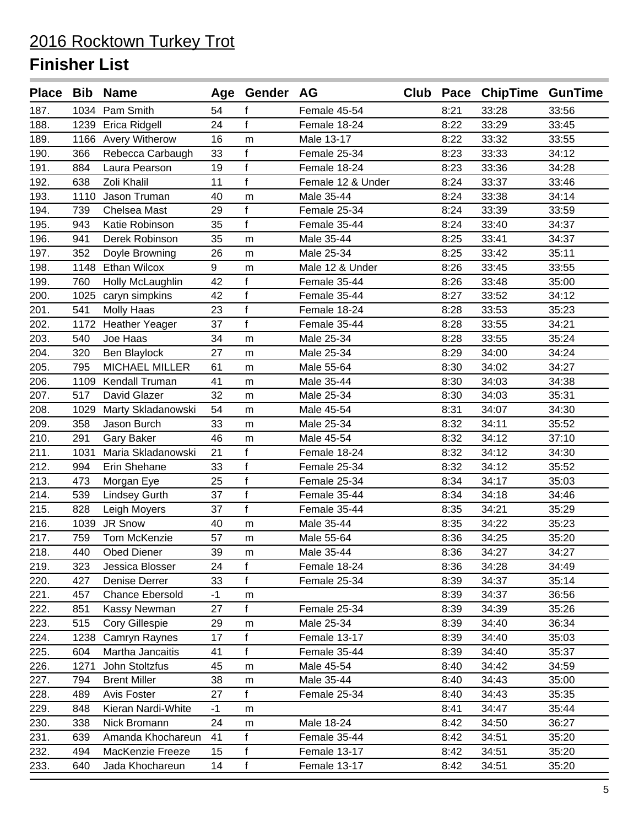|      |      | Place Bib Name         |      | Age Gender AG |                   |      | Club Pace ChipTime GunTime |       |
|------|------|------------------------|------|---------------|-------------------|------|----------------------------|-------|
| 187. |      | 1034 Pam Smith         | 54   | f             | Female 45-54      | 8:21 | 33:28                      | 33:56 |
| 188. |      | 1239 Erica Ridgell     | 24   | f             | Female 18-24      | 8:22 | 33:29                      | 33:45 |
| 189. |      | 1166 Avery Witherow    | 16   | m             | Male 13-17        | 8:22 | 33:32                      | 33:55 |
| 190. | 366  | Rebecca Carbaugh       | 33   | $\mathsf f$   | Female 25-34      | 8:23 | 33:33                      | 34:12 |
| 191. | 884  | Laura Pearson          | 19   | $\mathsf{f}$  | Female 18-24      | 8:23 | 33:36                      | 34:28 |
| 192. | 638  | Zoli Khalil            | 11   | f             | Female 12 & Under | 8:24 | 33:37                      | 33:46 |
| 193. | 1110 | Jason Truman           | 40   | m             | Male 35-44        | 8:24 | 33:38                      | 34:14 |
| 194. | 739  | Chelsea Mast           | 29   | f             | Female 25-34      | 8:24 | 33:39                      | 33:59 |
| 195. | 943  | Katie Robinson         | 35   | $\mathbf{f}$  | Female 35-44      | 8:24 | 33:40                      | 34:37 |
| 196. | 941  | Derek Robinson         | 35   | m             | Male 35-44        | 8:25 | 33:41                      | 34:37 |
| 197. | 352  | Doyle Browning         | 26   | m             | Male 25-34        | 8:25 | 33:42                      | 35:11 |
| 198. |      | 1148 Ethan Wilcox      | 9    | m             | Male 12 & Under   | 8:26 | 33:45                      | 33:55 |
| 199. | 760  | Holly McLaughlin       | 42   | $\mathsf{f}$  | Female 35-44      | 8:26 | 33:48                      | 35:00 |
| 200. |      | 1025 caryn simpkins    | 42   | f             | Female 35-44      | 8:27 | 33:52                      | 34:12 |
| 201. | 541  | <b>Molly Haas</b>      | 23   | f             | Female 18-24      | 8:28 | 33:53                      | 35:23 |
| 202. | 1172 | <b>Heather Yeager</b>  | 37   | $\mathsf{f}$  | Female 35-44      | 8:28 | 33:55                      | 34:21 |
| 203. | 540  | Joe Haas               | 34   | m             | Male 25-34        | 8:28 | 33:55                      | 35:24 |
| 204. | 320  | Ben Blaylock           | 27   | m             | Male 25-34        | 8:29 | 34:00                      | 34:24 |
| 205. | 795  | <b>MICHAEL MILLER</b>  | 61   | m             | Male 55-64        | 8:30 | 34:02                      | 34:27 |
| 206. | 1109 | Kendall Truman         | 41   | m             | Male 35-44        | 8:30 | 34:03                      | 34:38 |
| 207. | 517  | David Glazer           | 32   | m             | Male 25-34        | 8:30 | 34:03                      | 35:31 |
| 208. | 1029 | Marty Skladanowski     | 54   | m             | Male 45-54        | 8:31 | 34:07                      | 34:30 |
| 209. | 358  | Jason Burch            | 33   | m             | Male 25-34        | 8:32 | 34:11                      | 35:52 |
| 210. | 291  | Gary Baker             | 46   | m             | Male 45-54        | 8:32 | 34:12                      | 37:10 |
| 211. | 1031 | Maria Skladanowski     | 21   | f             | Female 18-24      | 8:32 | 34:12                      | 34:30 |
| 212. | 994  | Erin Shehane           | 33   | $\mathsf{f}$  | Female 25-34      | 8:32 | 34:12                      | 35:52 |
| 213. | 473  | Morgan Eye             | 25   | f             | Female 25-34      | 8:34 | 34:17                      | 35:03 |
| 214. | 539  | <b>Lindsey Gurth</b>   | 37   | f             | Female 35-44      | 8:34 | 34:18                      | 34:46 |
| 215. | 828  | Leigh Moyers           | 37   | f             | Female 35-44      | 8:35 | 34:21                      | 35:29 |
| 216. | 1039 | JR Snow                | 40   | m             | Male 35-44        | 8:35 | 34:22                      | 35:23 |
| 217. | 759  | Tom McKenzie           | 57   | m             | Male 55-64        | 8:36 | 34:25                      | 35:20 |
| 218. | 440  | <b>Obed Diener</b>     | 39   | ${\sf m}$     | Male 35-44        | 8:36 | 34:27                      | 34:27 |
| 219. | 323  | Jessica Blosser        | 24   | f             | Female 18-24      | 8:36 | 34:28                      | 34:49 |
| 220. | 427  | Denise Derrer          | 33   | f             | Female 25-34      | 8:39 | 34:37                      | 35:14 |
| 221. | 457  | <b>Chance Ebersold</b> | $-1$ | m             |                   | 8:39 | 34:37                      | 36:56 |
| 222. | 851  | Kassy Newman           | 27   | f             | Female 25-34      | 8:39 | 34:39                      | 35:26 |
| 223. | 515  | Cory Gillespie         | 29   | m             | Male 25-34        | 8:39 | 34:40                      | 36:34 |
| 224. | 1238 | Camryn Raynes          | 17   | f             | Female 13-17      | 8:39 | 34:40                      | 35:03 |
| 225. | 604  | Martha Jancaitis       | 41   | f             | Female 35-44      | 8:39 | 34:40                      | 35:37 |
| 226. | 1271 | John Stoltzfus         | 45   | m             | Male 45-54        | 8:40 | 34:42                      | 34:59 |
| 227. | 794  | <b>Brent Miller</b>    | 38   | m             | Male 35-44        | 8:40 | 34:43                      | 35:00 |
| 228. | 489  | Avis Foster            | 27   | f             | Female 25-34      | 8:40 | 34:43                      | 35:35 |
| 229. | 848  | Kieran Nardi-White     | $-1$ | m             |                   | 8:41 | 34:47                      | 35:44 |
| 230. | 338  | Nick Bromann           | 24   | m             | Male 18-24        | 8:42 | 34:50                      | 36:27 |
| 231. | 639  | Amanda Khochareun      | 41   | f             | Female 35-44      | 8:42 | 34:51                      | 35:20 |
| 232. | 494  | MacKenzie Freeze       | 15   | f             | Female 13-17      | 8:42 | 34:51                      | 35:20 |
| 233. | 640  | Jada Khochareun        | 14   | f             | Female 13-17      | 8:42 | 34:51                      | 35:20 |
|      |      |                        |      |               |                   |      |                            |       |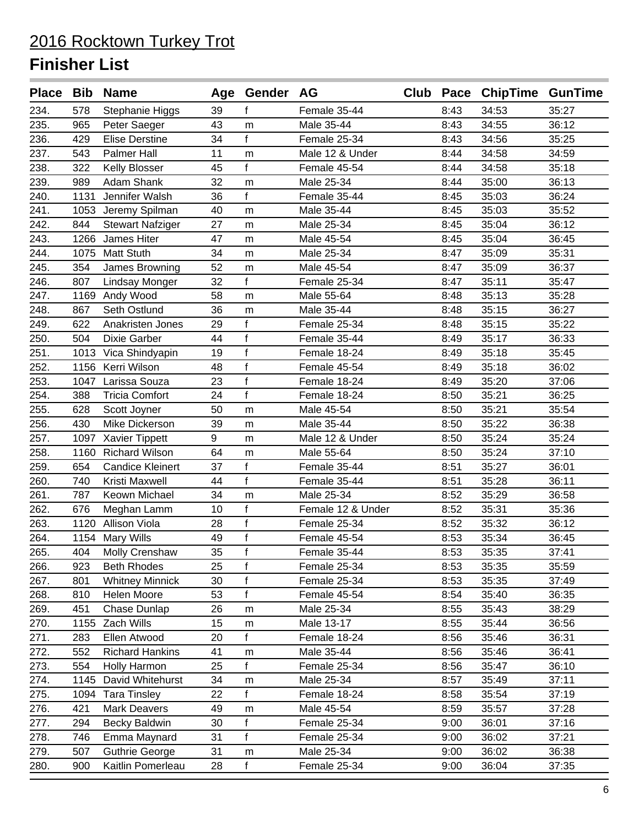|      |      | Place Bib Name          |    | Age Gender AG |                   |      | Club Pace ChipTime GunTime |       |
|------|------|-------------------------|----|---------------|-------------------|------|----------------------------|-------|
| 234. | 578  | <b>Stephanie Higgs</b>  | 39 | f             | Female 35-44      | 8:43 | 34:53                      | 35:27 |
| 235. | 965  | Peter Saeger            | 43 | m             | Male 35-44        | 8:43 | 34:55                      | 36:12 |
| 236. | 429  | <b>Elise Derstine</b>   | 34 | f             | Female 25-34      | 8:43 | 34:56                      | 35:25 |
| 237. | 543  | Palmer Hall             | 11 | m             | Male 12 & Under   | 8:44 | 34:58                      | 34:59 |
| 238. | 322  | <b>Kelly Blosser</b>    | 45 | f             | Female 45-54      | 8:44 | 34:58                      | 35:18 |
| 239. | 989  | Adam Shank              | 32 | m             | Male 25-34        | 8:44 | 35:00                      | 36:13 |
| 240. | 1131 | Jennifer Walsh          | 36 | f             | Female 35-44      | 8:45 | 35:03                      | 36:24 |
| 241. | 1053 | Jeremy Spilman          | 40 | m             | Male 35-44        | 8:45 | 35:03                      | 35:52 |
| 242. | 844  | <b>Stewart Nafziger</b> | 27 | m             | Male 25-34        | 8:45 | 35:04                      | 36:12 |
| 243. | 1266 | James Hiter             | 47 | m             | Male 45-54        | 8:45 | 35:04                      | 36:45 |
| 244. | 1075 | <b>Matt Stuth</b>       | 34 | m             | Male 25-34        | 8:47 | 35:09                      | 35:31 |
| 245. | 354  | James Browning          | 52 | m             | Male 45-54        | 8:47 | 35:09                      | 36:37 |
| 246. | 807  | Lindsay Monger          | 32 | $\mathsf{f}$  | Female 25-34      | 8:47 | 35:11                      | 35:47 |
| 247. |      | 1169 Andy Wood          | 58 | m             | Male 55-64        | 8:48 | 35:13                      | 35:28 |
| 248. | 867  | Seth Ostlund            | 36 | m             | Male 35-44        | 8:48 | 35:15                      | 36:27 |
| 249. | 622  | Anakristen Jones        | 29 | f             | Female 25-34      | 8:48 | 35:15                      | 35:22 |
| 250. | 504  | <b>Dixie Garber</b>     | 44 | $\mathsf{f}$  | Female 35-44      | 8:49 | 35:17                      | 36:33 |
| 251. | 1013 | Vica Shindyapin         | 19 | $\mathsf{f}$  | Female 18-24      | 8:49 | 35:18                      | 35:45 |
| 252. |      | 1156 Kerri Wilson       | 48 | $\mathsf{f}$  | Female 45-54      | 8:49 | 35:18                      | 36:02 |
| 253. | 1047 | Larissa Souza           | 23 | $\mathsf{f}$  | Female 18-24      | 8:49 | 35:20                      | 37:06 |
| 254. | 388  | <b>Tricia Comfort</b>   | 24 | f             | Female 18-24      | 8:50 | 35:21                      | 36:25 |
| 255. | 628  | Scott Joyner            | 50 | m             | Male 45-54        | 8:50 | 35:21                      | 35:54 |
| 256. | 430  | Mike Dickerson          | 39 | m             | Male 35-44        | 8:50 | 35:22                      | 36:38 |
| 257. | 1097 | <b>Xavier Tippett</b>   | 9  | m             | Male 12 & Under   | 8:50 | 35:24                      | 35:24 |
| 258. | 1160 | <b>Richard Wilson</b>   | 64 | m             | Male 55-64        | 8:50 | 35:24                      | 37:10 |
| 259. | 654  | <b>Candice Kleinert</b> | 37 | $\mathsf{f}$  | Female 35-44      | 8:51 | 35:27                      | 36:01 |
| 260. | 740  | Kristi Maxwell          | 44 | f             | Female 35-44      | 8:51 | 35:28                      | 36:11 |
| 261. | 787  | Keown Michael           | 34 | m             | Male 25-34        | 8:52 | 35:29                      | 36:58 |
| 262. | 676  | Meghan Lamm             | 10 | $\mathsf f$   | Female 12 & Under | 8:52 | 35:31                      | 35:36 |
| 263. |      | 1120 Allison Viola      | 28 | $\mathsf{f}$  | Female 25-34      | 8:52 | 35:32                      | 36:12 |
| 264. |      | 1154 Mary Wills         | 49 | $\mathsf f$   | Female 45-54      | 8:53 | 35:34                      | 36:45 |
| 265. | 404  | Molly Crenshaw          | 35 | f             | Female 35-44      | 8:53 | 35:35                      | 37:41 |
| 266. | 923  | <b>Beth Rhodes</b>      | 25 | $\mathsf{f}$  | Female 25-34      | 8:53 | 35:35                      | 35:59 |
| 267. | 801  | <b>Whitney Minnick</b>  | 30 | $\mathsf{f}$  | Female 25-34      | 8:53 | 35:35                      | 37:49 |
| 268. | 810  | Helen Moore             | 53 | $\mathsf{f}$  | Female 45-54      | 8:54 | 35:40                      | 36:35 |
| 269. | 451  | Chase Dunlap            | 26 | m             | Male 25-34        | 8:55 | 35:43                      | 38:29 |
| 270. | 1155 | Zach Wills              | 15 | m             | Male 13-17        | 8:55 | 35:44                      | 36:56 |
| 271. | 283  | Ellen Atwood            | 20 | f             | Female 18-24      | 8:56 | 35:46                      | 36:31 |
| 272. | 552  | <b>Richard Hankins</b>  | 41 | m             | Male 35-44        | 8:56 | 35:46                      | 36:41 |
| 273. | 554  | Holly Harmon            | 25 | f             | Female 25-34      | 8:56 | 35:47                      | 36:10 |
| 274. |      | 1145 David Whitehurst   | 34 | m             | Male 25-34        | 8:57 | 35:49                      | 37:11 |
| 275. | 1094 | <b>Tara Tinsley</b>     | 22 | f             | Female 18-24      | 8:58 | 35:54                      | 37:19 |
| 276. | 421  | <b>Mark Deavers</b>     | 49 | m             | Male 45-54        | 8:59 | 35:57                      | 37:28 |
| 277. | 294  | Becky Baldwin           | 30 | $\mathsf f$   | Female 25-34      | 9:00 | 36:01                      | 37:16 |
| 278. | 746  | Emma Maynard            | 31 | f             | Female 25-34      | 9:00 | 36:02                      | 37:21 |
| 279. | 507  | <b>Guthrie George</b>   | 31 | m             | Male 25-34        | 9:00 | 36:02                      | 36:38 |
| 280. | 900  | Kaitlin Pomerleau       | 28 | f             | Female 25-34      | 9:00 | 36:04                      | 37:35 |
|      |      |                         |    |               |                   |      |                            |       |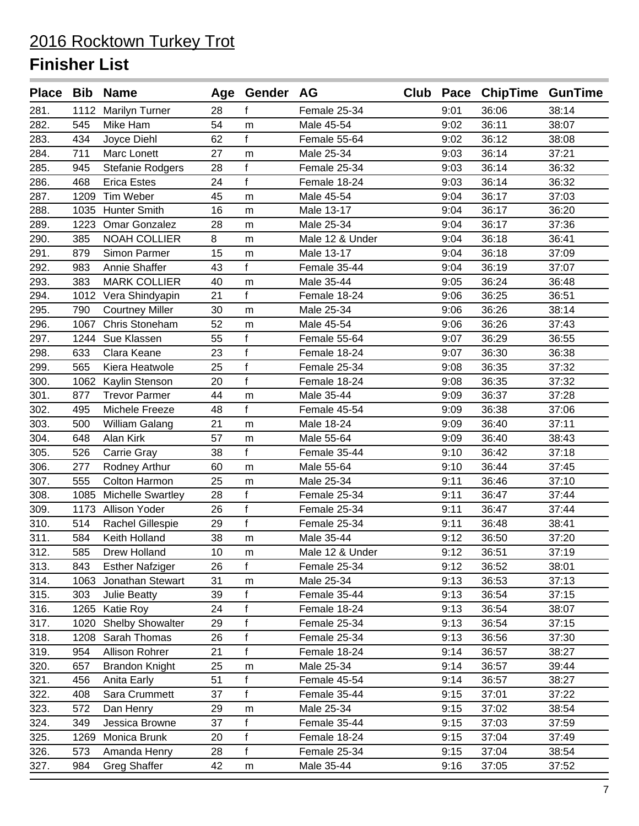|      |      | Place Bib Name           |    | Age Gender AG |                 |      | Club Pace ChipTime GunTime |       |
|------|------|--------------------------|----|---------------|-----------------|------|----------------------------|-------|
| 281. |      | 1112 Marilyn Turner      | 28 | f             | Female 25-34    | 9:01 | 36:06                      | 38:14 |
| 282. | 545  | Mike Ham                 | 54 | m             | Male 45-54      | 9:02 | 36:11                      | 38:07 |
| 283. | 434  | Joyce Diehl              | 62 | f             | Female 55-64    | 9:02 | 36:12                      | 38:08 |
| 284. | 711  | Marc Lonett              | 27 | m             | Male 25-34      | 9:03 | 36:14                      | 37:21 |
| 285. | 945  | Stefanie Rodgers         | 28 | f             | Female 25-34    | 9:03 | 36:14                      | 36:32 |
| 286. | 468  | <b>Erica Estes</b>       | 24 | f             | Female 18-24    | 9:03 | 36:14                      | 36:32 |
| 287. |      | 1209 Tim Weber           | 45 | m             | Male 45-54      | 9:04 | 36:17                      | 37:03 |
| 288. |      | 1035 Hunter Smith        | 16 | m             | Male 13-17      | 9:04 | 36:17                      | 36:20 |
| 289. | 1223 | Omar Gonzalez            | 28 | m             | Male 25-34      | 9:04 | 36:17                      | 37:36 |
| 290. | 385  | <b>NOAH COLLIER</b>      | 8  | m             | Male 12 & Under | 9:04 | 36:18                      | 36:41 |
| 291. | 879  | Simon Parmer             | 15 | m             | Male 13-17      | 9:04 | 36:18                      | 37:09 |
| 292. | 983  | Annie Shaffer            | 43 | f             | Female 35-44    | 9:04 | 36:19                      | 37:07 |
| 293. | 383  | <b>MARK COLLIER</b>      | 40 | m             | Male 35-44      | 9:05 | 36:24                      | 36:48 |
| 294. |      | 1012 Vera Shindyapin     | 21 | f             | Female 18-24    | 9:06 | 36:25                      | 36:51 |
| 295. | 790  | <b>Courtney Miller</b>   | 30 | m             | Male 25-34      | 9:06 | 36:26                      | 38:14 |
| 296. | 1067 | Chris Stoneham           | 52 | m             | Male 45-54      | 9:06 | 36:26                      | 37:43 |
| 297. | 1244 | Sue Klassen              | 55 | $\mathsf{f}$  | Female 55-64    | 9:07 | 36:29                      | 36:55 |
| 298. | 633  | Clara Keane              | 23 | $\mathsf{f}$  | Female 18-24    | 9:07 | 36:30                      | 36:38 |
| 299. | 565  | Kiera Heatwole           | 25 | $\mathsf{f}$  | Female 25-34    | 9:08 | 36:35                      | 37:32 |
| 300. | 1062 | Kaylin Stenson           | 20 | $\mathsf{f}$  | Female 18-24    | 9:08 | 36:35                      | 37:32 |
| 301. | 877  | <b>Trevor Parmer</b>     | 44 | m             | Male 35-44      | 9:09 | 36:37                      | 37:28 |
| 302. | 495  | Michele Freeze           | 48 | f             | Female 45-54    | 9:09 | 36:38                      | 37:06 |
| 303. | 500  | William Galang           | 21 | m             | Male 18-24      | 9:09 | 36:40                      | 37:11 |
| 304. | 648  | Alan Kirk                | 57 | m             | Male 55-64      | 9:09 | 36:40                      | 38:43 |
| 305. | 526  | Carrie Gray              | 38 | f             | Female 35-44    | 9:10 | 36:42                      | 37:18 |
| 306. | 277  | Rodney Arthur            | 60 | m             | Male 55-64      | 9:10 | 36:44                      | 37:45 |
| 307. | 555  | Colton Harmon            | 25 | m             | Male 25-34      | 9:11 | 36:46                      | 37:10 |
| 308. | 1085 | <b>Michelle Swartley</b> | 28 | f             | Female 25-34    | 9:11 | 36:47                      | 37:44 |
| 309. | 1173 | Allison Yoder            | 26 | $\mathsf f$   | Female 25-34    | 9:11 | 36:47                      | 37:44 |
| 310. | 514  | Rachel Gillespie         | 29 | f             | Female 25-34    | 9:11 | 36:48                      | 38:41 |
| 311. | 584  | Keith Holland            | 38 | m             | Male 35-44      | 9:12 | 36:50                      | 37:20 |
| 312. | 585  | Drew Holland             | 10 | m             | Male 12 & Under | 9:12 | 36:51                      | 37:19 |
| 313. | 843  | <b>Esther Nafziger</b>   | 26 | f             | Female 25-34    | 9:12 | 36:52                      | 38:01 |
| 314. | 1063 | Jonathan Stewart         | 31 | m             | Male 25-34      | 9:13 | 36:53                      | 37:13 |
| 315. | 303  | Julie Beatty             | 39 | f             | Female 35-44    | 9:13 | 36:54                      | 37:15 |
| 316. | 1265 | Katie Roy                | 24 | $\mathsf{f}$  | Female 18-24    | 9:13 | 36:54                      | 38:07 |
| 317. | 1020 | <b>Shelby Showalter</b>  | 29 | $\mathsf{f}$  | Female 25-34    | 9:13 | 36:54                      | 37:15 |
| 318. | 1208 | Sarah Thomas             | 26 | $\mathsf f$   | Female 25-34    | 9:13 | 36:56                      | 37:30 |
| 319. | 954  | Allison Rohrer           | 21 | f             | Female 18-24    | 9:14 | 36:57                      | 38:27 |
| 320. | 657  | <b>Brandon Knight</b>    | 25 | m             | Male 25-34      | 9:14 | 36:57                      | 39:44 |
| 321. | 456  | Anita Early              | 51 | f             | Female 45-54    | 9:14 | 36:57                      | 38:27 |
| 322. | 408  | Sara Crummett            | 37 | f             | Female 35-44    | 9:15 | 37:01                      | 37:22 |
| 323. | 572  | Dan Henry                | 29 | m             | Male 25-34      | 9:15 | 37:02                      | 38:54 |
| 324. | 349  | Jessica Browne           | 37 | f             | Female 35-44    | 9:15 | 37:03                      | 37:59 |
| 325. | 1269 | Monica Brunk             | 20 | f             | Female 18-24    | 9:15 | 37:04                      | 37:49 |
| 326. | 573  | Amanda Henry             | 28 | f             | Female 25-34    | 9:15 | 37:04                      | 38:54 |
| 327. | 984  | <b>Greg Shaffer</b>      | 42 | m             | Male 35-44      | 9:16 | 37:05                      | 37:52 |
|      |      |                          |    |               |                 |      |                            |       |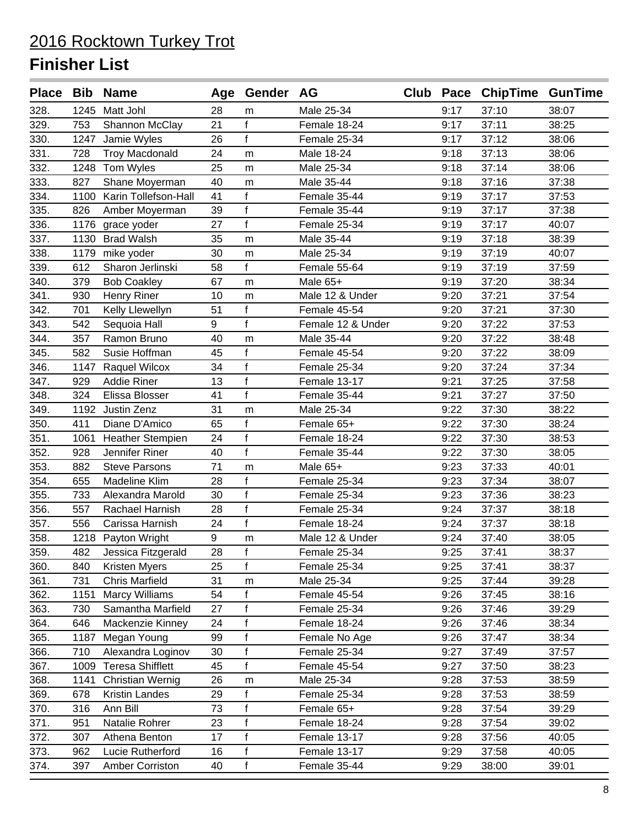| <b>Place</b> |      | <b>Bib Name</b>           |    | Age Gender AG |                   |      | Club Pace ChipTime GunTime |       |
|--------------|------|---------------------------|----|---------------|-------------------|------|----------------------------|-------|
| 328.         |      | 1245 Matt Johl            | 28 | m             | Male 25-34        | 9:17 | 37:10                      | 38:07 |
| 329.         | 753  | Shannon McClay            | 21 | f             | Female 18-24      | 9:17 | 37:11                      | 38:25 |
| 330.         | 1247 | Jamie Wyles               | 26 | f             | Female 25-34      | 9:17 | 37:12                      | 38:06 |
| 331.         | 728  | <b>Troy Macdonald</b>     | 24 | m             | Male 18-24        | 9:18 | 37:13                      | 38:06 |
| 332.         | 1248 | Tom Wyles                 | 25 | m             | Male 25-34        | 9:18 | 37:14                      | 38:06 |
| 333.         | 827  | Shane Moyerman            | 40 | m             | Male 35-44        | 9:18 | 37:16                      | 37:38 |
| 334.         |      | 1100 Karin Tollefson-Hall | 41 | f             | Female 35-44      | 9:19 | 37:17                      | 37:53 |
| 335.         | 826  | Amber Moyerman            | 39 | $\mathsf{f}$  | Female 35-44      | 9:19 | 37:17                      | 37:38 |
| 336.         | 1176 | grace yoder               | 27 | f             | Female 25-34      | 9:19 | 37:17                      | 40:07 |
| 337.         | 1130 | <b>Brad Walsh</b>         | 35 | m             | Male 35-44        | 9:19 | 37:18                      | 38:39 |
| 338.         | 1179 | mike yoder                | 30 | m             | Male 25-34        | 9:19 | 37:19                      | 40:07 |
| 339.         | 612  | Sharon Jerlinski          | 58 | f             | Female 55-64      | 9:19 | 37:19                      | 37:59 |
| 340.         | 379  | <b>Bob Coakley</b>        | 67 | m             | Male 65+          | 9:19 | 37:20                      | 38:34 |
| 341.         | 930  | <b>Henry Riner</b>        | 10 | m             | Male 12 & Under   | 9:20 | 37:21                      | 37:54 |
| 342.         | 701  | Kelly Llewellyn           | 51 | f             | Female 45-54      | 9:20 | 37:21                      | 37:30 |
| 343.         | 542  | Sequoia Hall              | 9  | $\mathbf f$   | Female 12 & Under | 9:20 | 37:22                      | 37:53 |
| 344.         | 357  | Ramon Bruno               | 40 | m             | Male 35-44        | 9:20 | 37:22                      | 38:48 |
| 345.         | 582  | Susie Hoffman             | 45 | $\mathsf{f}$  | Female 45-54      | 9:20 | 37:22                      | 38:09 |
| 346.         | 1147 | Raquel Wilcox             | 34 | $\mathsf{f}$  | Female 25-34      | 9:20 | 37:24                      | 37:34 |
| 347.         | 929  | <b>Addie Riner</b>        | 13 | $\mathsf{f}$  | Female 13-17      | 9:21 | 37:25                      | 37:58 |
| 348.         | 324  | Elissa Blosser            | 41 | f             | Female 35-44      | 9:21 | 37:27                      | 37:50 |
| 349.         |      | 1192 Justin Zenz          | 31 | m             | Male 25-34        | 9:22 | 37:30                      | 38:22 |
| 350.         | 411  | Diane D'Amico             | 65 | f             | Female 65+        | 9:22 | 37:30                      | 38:24 |
| 351.         | 1061 | <b>Heather Stempien</b>   | 24 | f             | Female 18-24      | 9:22 | 37:30                      | 38:53 |
| 352.         | 928  | Jennifer Riner            | 40 | f             | Female 35-44      | 9:22 | 37:30                      | 38:05 |
| 353.         | 882  | <b>Steve Parsons</b>      | 71 | m             | Male 65+          | 9:23 | 37:33                      | 40:01 |
| 354.         | 655  | Madeline Klim             | 28 | $\mathsf{f}$  | Female 25-34      | 9:23 | 37:34                      | 38:07 |
| 355.         | 733  | Alexandra Marold          | 30 | $\mathbf{f}$  | Female 25-34      | 9:23 | 37:36                      | 38:23 |
| 356.         | 557  | Rachael Harnish           | 28 | f             | Female 25-34      | 9:24 | 37:37                      | 38:18 |
| 357.         | 556  | Carissa Harnish           | 24 | $\mathsf{f}$  | Female 18-24      | 9:24 | 37:37                      | 38:18 |
| 358.         | 1218 | Payton Wright             | 9  | m             | Male 12 & Under   | 9:24 | 37:40                      | 38:05 |
| 359.         | 482  | Jessica Fitzgerald        | 28 | f             | Female 25-34      | 9:25 | 37:41                      | 38:37 |
| 360.         | 840  | <b>Kristen Myers</b>      | 25 | f             | Female 25-34      | 9:25 | 37:41                      | 38:37 |
| 361.         | 731  | <b>Chris Marfield</b>     | 31 | m             | Male 25-34        | 9:25 | 37:44                      | 39:28 |
| 362.         | 1151 | <b>Marcy Williams</b>     | 54 | f             | Female 45-54      | 9:26 | 37:45                      | 38:16 |
| 363.         | 730  | Samantha Marfield         | 27 | f             | Female 25-34      | 9:26 | 37:46                      | 39:29 |
| 364.         | 646  | Mackenzie Kinney          | 24 | f             | Female 18-24      | 9:26 | 37:46                      | 38:34 |
| 365.         | 1187 | Megan Young               | 99 | f             | Female No Age     | 9:26 | 37:47                      | 38:34 |
| 366.         | 710  | Alexandra Loginov         | 30 | f             | Female 25-34      | 9:27 | 37:49                      | 37:57 |
| 367.         |      | 1009 Teresa Shifflett     | 45 | f             | Female 45-54      | 9:27 | 37:50                      | 38:23 |
| 368.         | 1141 | <b>Christian Wernig</b>   | 26 | m             | Male 25-34        | 9:28 | 37:53                      | 38:59 |
| 369.         | 678  | <b>Kristin Landes</b>     | 29 | f             | Female 25-34      | 9:28 | 37:53                      | 38:59 |
| 370.         | 316  | Ann Bill                  | 73 | f             | Female 65+        | 9:28 | 37:54                      | 39:29 |
| 371.         | 951  | Natalie Rohrer            | 23 | f             | Female 18-24      | 9:28 | 37:54                      | 39:02 |
| 372.         | 307  | Athena Benton             | 17 | $\mathsf{f}$  | Female 13-17      | 9:28 | 37:56                      | 40:05 |
| 373.         | 962  | Lucie Rutherford          | 16 | f             | Female 13-17      | 9:29 | 37:58                      | 40:05 |
| 374.         | 397  | Amber Corriston           | 40 | $\mathsf f$   | Female 35-44      | 9:29 | 38:00                      | 39:01 |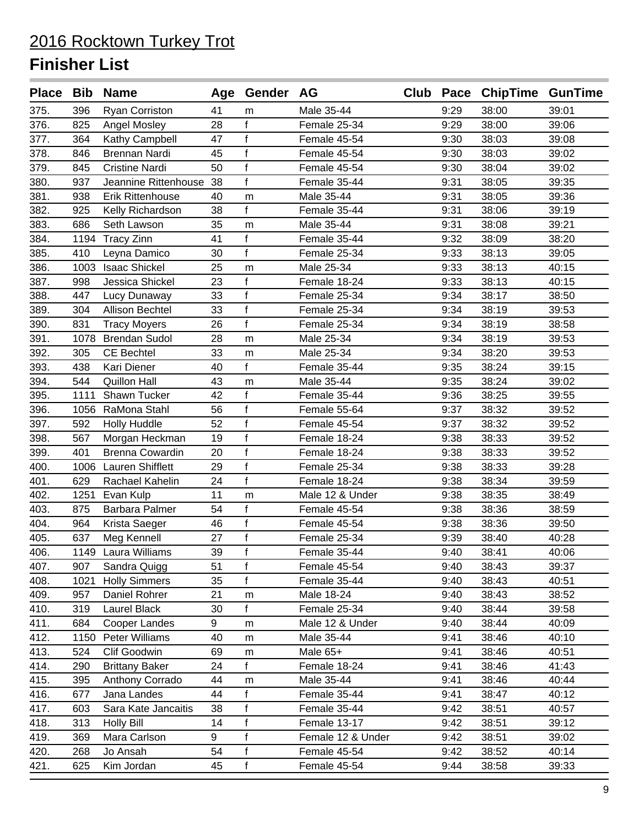|      |      | Place Bib Name          |    | Age Gender AG |                   |      | Club Pace ChipTime GunTime |       |
|------|------|-------------------------|----|---------------|-------------------|------|----------------------------|-------|
| 375. | 396  | Ryan Corriston          | 41 | m             | Male 35-44        | 9:29 | 38:00                      | 39:01 |
| 376. | 825  | Angel Mosley            | 28 | f             | Female 25-34      | 9:29 | 38:00                      | 39:06 |
| 377. | 364  | Kathy Campbell          | 47 | $\mathsf{f}$  | Female 45-54      | 9:30 | 38:03                      | 39:08 |
| 378. | 846  | Brennan Nardi           | 45 | f             | Female 45-54      | 9:30 | 38:03                      | 39:02 |
| 379. | 845  | <b>Cristine Nardi</b>   | 50 | f             | Female 45-54      | 9:30 | 38:04                      | 39:02 |
| 380. | 937  | Jeannine Rittenhouse    | 38 | f             | Female 35-44      | 9:31 | 38:05                      | 39:35 |
| 381. | 938  | <b>Erik Rittenhouse</b> | 40 | m             | Male 35-44        | 9:31 | 38:05                      | 39:36 |
| 382. | 925  | Kelly Richardson        | 38 | f             | Female 35-44      | 9:31 | 38:06                      | 39:19 |
| 383. | 686  | Seth Lawson             | 35 | m             | Male 35-44        | 9:31 | 38:08                      | 39:21 |
| 384. | 1194 | <b>Tracy Zinn</b>       | 41 | $\mathsf{f}$  | Female 35-44      | 9:32 | 38:09                      | 38:20 |
| 385. | 410  | Leyna Damico            | 30 | f             | Female 25-34      | 9:33 | 38:13                      | 39:05 |
| 386. | 1003 | <b>Isaac Shickel</b>    | 25 | m             | Male 25-34        | 9:33 | 38:13                      | 40:15 |
| 387. | 998  | Jessica Shickel         | 23 | $\mathsf{f}$  | Female 18-24      | 9:33 | 38:13                      | 40:15 |
| 388. | 447  | Lucy Dunaway            | 33 | f             | Female 25-34      | 9:34 | 38:17                      | 38:50 |
| 389. | 304  | <b>Allison Bechtel</b>  | 33 | f             | Female 25-34      | 9:34 | 38:19                      | 39:53 |
| 390. | 831  | <b>Tracy Moyers</b>     | 26 | $\mathsf{f}$  | Female 25-34      | 9:34 | 38:19                      | 38:58 |
| 391. | 1078 | <b>Brendan Sudol</b>    | 28 | m             | Male 25-34        | 9:34 | 38:19                      | 39:53 |
| 392. | 305  | <b>CE Bechtel</b>       | 33 | m             | Male 25-34        | 9:34 | 38:20                      | 39:53 |
| 393. | 438  | Kari Diener             | 40 | f             | Female 35-44      | 9:35 | 38:24                      | 39:15 |
| 394. | 544  | <b>Quillon Hall</b>     | 43 | m             | Male 35-44        | 9:35 | 38:24                      | 39:02 |
| 395. | 1111 | Shawn Tucker            | 42 | f             | Female 35-44      | 9:36 | 38:25                      | 39:55 |
| 396. | 1056 | RaMona Stahl            | 56 | $\mathsf f$   | Female 55-64      | 9:37 | 38:32                      | 39:52 |
| 397. | 592  | <b>Holly Huddle</b>     | 52 | $\mathsf{f}$  | Female 45-54      | 9:37 | 38:32                      | 39:52 |
| 398. | 567  | Morgan Heckman          | 19 | f             | Female 18-24      | 9:38 | 38:33                      | 39:52 |
| 399. | 401  | <b>Brenna Cowardin</b>  | 20 | $\mathsf{f}$  | Female 18-24      | 9:38 | 38:33                      | 39:52 |
| 400. |      | 1006 Lauren Shifflett   | 29 | f             | Female 25-34      | 9:38 | 38:33                      | 39:28 |
| 401. | 629  | Rachael Kahelin         | 24 | f             | Female 18-24      | 9:38 | 38:34                      | 39:59 |
| 402. | 1251 | Evan Kulp               | 11 | m             | Male 12 & Under   | 9:38 | 38:35                      | 38:49 |
| 403. | 875  | Barbara Palmer          | 54 | f             | Female 45-54      | 9:38 | 38:36                      | 38:59 |
| 404. | 964  | Krista Saeger           | 46 | f             | Female 45-54      | 9:38 | 38:36                      | 39:50 |
| 405. | 637  | Meg Kennell             | 27 | $\mathsf f$   | Female 25-34      | 9:39 | 38:40                      | 40:28 |
| 406. |      | 1149 Laura Williams     | 39 | f             | Female 35-44      | 9:40 | 38:41                      | 40:06 |
| 407. | 907  | Sandra Quigg            | 51 | f             | Female 45-54      | 9:40 | 38:43                      | 39:37 |
| 408. | 1021 | <b>Holly Simmers</b>    | 35 | f             | Female 35-44      | 9:40 | 38:43                      | 40:51 |
| 409. | 957  | Daniel Rohrer           | 21 | m             | Male 18-24        | 9:40 | 38:43                      | 38:52 |
| 410. | 319  | <b>Laurel Black</b>     | 30 | f             | Female 25-34      | 9:40 | 38:44                      | 39:58 |
| 411. | 684  | Cooper Landes           | 9  | m             | Male 12 & Under   | 9:40 | 38:44                      | 40:09 |
| 412. | 1150 | Peter Williams          | 40 | m             | Male 35-44        | 9:41 | 38:46                      | 40:10 |
| 413. | 524  | Clif Goodwin            | 69 | m             | Male 65+          | 9:41 | 38:46                      | 40:51 |
| 414. | 290  | <b>Brittany Baker</b>   | 24 | f             | Female 18-24      | 9:41 | 38:46                      | 41:43 |
| 415. | 395  | Anthony Corrado         | 44 | m             | Male 35-44        | 9:41 | 38:46                      | 40:44 |
| 416. | 677  | Jana Landes             | 44 | f             | Female 35-44      | 9:41 | 38:47                      | 40:12 |
| 417. | 603  | Sara Kate Jancaitis     | 38 | $\mathsf f$   | Female 35-44      | 9:42 | 38:51                      | 40:57 |
| 418. | 313  | <b>Holly Bill</b>       | 14 | f             | Female 13-17      | 9:42 | 38:51                      | 39:12 |
| 419. | 369  | Mara Carlson            | 9  | f             | Female 12 & Under | 9:42 | 38:51                      | 39:02 |
| 420. | 268  | Jo Ansah                | 54 | f             | Female 45-54      | 9:42 | 38:52                      | 40:14 |
| 421. | 625  | Kim Jordan              | 45 | f             | Female 45-54      | 9:44 | 38:58                      | 39:33 |
|      |      |                         |    |               |                   |      |                            |       |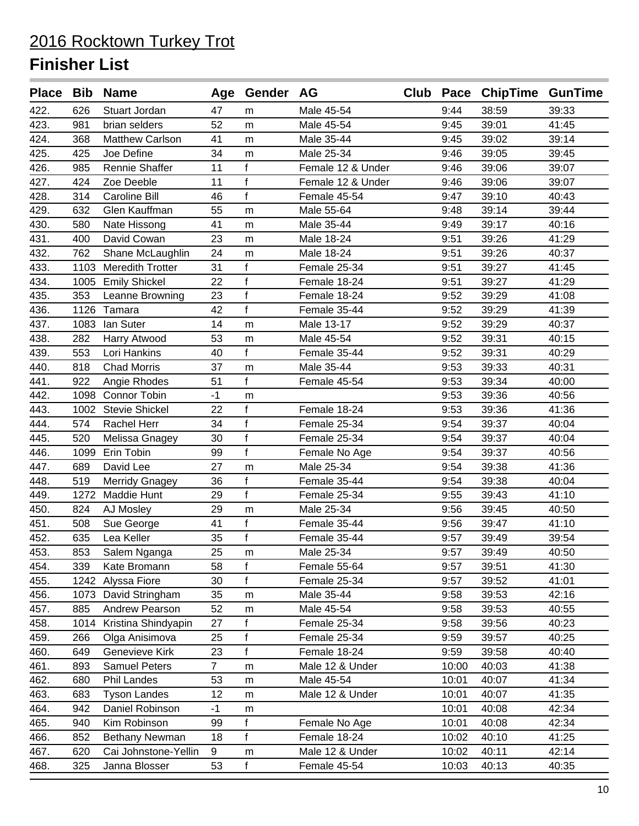|      |      | Place Bib Name          |                | Age Gender AG |                   |       | Club Pace ChipTime GunTime |       |
|------|------|-------------------------|----------------|---------------|-------------------|-------|----------------------------|-------|
| 422. | 626  | Stuart Jordan           | 47             | m             | Male 45-54        | 9:44  | 38:59                      | 39:33 |
| 423. | 981  | brian selders           | 52             | m             | Male 45-54        | 9:45  | 39:01                      | 41:45 |
| 424. | 368  | <b>Matthew Carlson</b>  | 41             | m             | Male 35-44        | 9:45  | 39:02                      | 39:14 |
| 425. | 425  | Joe Define              | 34             | m             | Male 25-34        | 9:46  | 39:05                      | 39:45 |
| 426. | 985  | Rennie Shaffer          | 11             | f             | Female 12 & Under | 9:46  | 39:06                      | 39:07 |
| 427. | 424  | Zoe Deeble              | 11             | f             | Female 12 & Under | 9:46  | 39:06                      | 39:07 |
| 428. | 314  | Caroline Bill           | 46             | f             | Female 45-54      | 9:47  | 39:10                      | 40:43 |
| 429. | 632  | Glen Kauffman           | 55             | m             | Male 55-64        | 9:48  | 39:14                      | 39:44 |
| 430. | 580  | Nate Hissong            | 41             | m             | Male 35-44        | 9:49  | 39:17                      | 40:16 |
| 431. | 400  | David Cowan             | 23             | m             | Male 18-24        | 9:51  | 39:26                      | 41:29 |
| 432. | 762  | Shane McLaughlin        | 24             | m             | Male 18-24        | 9:51  | 39:26                      | 40:37 |
| 433. | 1103 | <b>Meredith Trotter</b> | 31             | $\mathsf{f}$  | Female 25-34      | 9:51  | 39:27                      | 41:45 |
| 434. | 1005 | <b>Emily Shickel</b>    | 22             | f             | Female 18-24      | 9:51  | 39:27                      | 41:29 |
| 435. | 353  | Leanne Browning         | 23             | f             | Female 18-24      | 9:52  | 39:29                      | 41:08 |
| 436. |      | 1126 Tamara             | 42             | f             | Female 35-44      | 9:52  | 39:29                      | 41:39 |
| 437. | 1083 | lan Suter               | 14             | m             | Male 13-17        | 9:52  | 39:29                      | 40:37 |
| 438. | 282  | Harry Atwood            | 53             | m             | Male 45-54        | 9:52  | 39:31                      | 40:15 |
| 439. | 553  | Lori Hankins            | 40             | f             | Female 35-44      | 9:52  | 39:31                      | 40:29 |
| 440. | 818  | <b>Chad Morris</b>      | 37             | m             | Male 35-44        | 9:53  | 39:33                      | 40:31 |
| 441. | 922  | Angie Rhodes            | 51             | $\mathbf{f}$  | Female 45-54      | 9:53  | 39:34                      | 40:00 |
| 442. | 1098 | <b>Connor Tobin</b>     | $-1$           | m             |                   | 9:53  | 39:36                      | 40:56 |
| 443. | 1002 | <b>Stevie Shickel</b>   | 22             | f             | Female 18-24      | 9:53  | 39:36                      | 41:36 |
| 444. | 574  | Rachel Herr             | 34             | $\mathsf{f}$  | Female 25-34      | 9:54  | 39:37                      | 40:04 |
| 445. | 520  | Melissa Gnagey          | 30             | f             | Female 25-34      | 9:54  | 39:37                      | 40:04 |
| 446. | 1099 | Erin Tobin              | 99             | f             | Female No Age     | 9:54  | 39:37                      | 40:56 |
| 447. | 689  | David Lee               | 27             | m             | Male 25-34        | 9:54  | 39:38                      | 41:36 |
| 448. | 519  | <b>Merridy Gnagey</b>   | 36             | f             | Female 35-44      | 9:54  | 39:38                      | 40:04 |
| 449. | 1272 | <b>Maddie Hunt</b>      | 29             | f             | Female 25-34      | 9:55  | 39:43                      | 41:10 |
| 450. | 824  | AJ Mosley               | 29             | m             | Male 25-34        | 9:56  | 39:45                      | 40:50 |
| 451. | 508  | Sue George              | 41             | f             | Female 35-44      | 9:56  | 39:47                      | 41:10 |
| 452. | 635  | Lea Keller              | 35             | f             | Female 35-44      | 9:57  | 39:49                      | 39:54 |
| 453. | 853  | Salem Nganga            | 25             | m             | Male 25-34        | 9:57  | 39:49                      | 40:50 |
| 454. | 339  | Kate Bromann            | 58             | f             | Female 55-64      | 9:57  | 39:51                      | 41:30 |
| 455. |      | 1242 Alyssa Fiore       | 30             | f             | Female 25-34      | 9:57  | 39:52                      | 41:01 |
| 456. |      | 1073 David Stringham    | 35             | m             | Male 35-44        | 9:58  | 39:53                      | 42:16 |
| 457. | 885  | Andrew Pearson          | 52             | m             | Male 45-54        | 9:58  | 39:53                      | 40:55 |
| 458. | 1014 | Kristina Shindyapin     | 27             | f             | Female 25-34      | 9:58  | 39:56                      | 40:23 |
| 459. | 266  | Olga Anisimova          | 25             | f             | Female 25-34      | 9:59  | 39:57                      | 40:25 |
| 460. | 649  | Genevieve Kirk          | 23             | f             | Female 18-24      | 9:59  | 39:58                      | 40:40 |
| 461. | 893  | <b>Samuel Peters</b>    | $\overline{7}$ | m             | Male 12 & Under   | 10:00 | 40:03                      | 41:38 |
| 462. | 680  | Phil Landes             | 53             | m             | Male 45-54        | 10:01 | 40:07                      | 41:34 |
| 463. | 683  | <b>Tyson Landes</b>     | 12             | m             | Male 12 & Under   | 10:01 | 40:07                      | 41:35 |
| 464. | 942  | Daniel Robinson         | $-1$           | m             |                   | 10:01 | 40:08                      | 42:34 |
| 465. | 940  | Kim Robinson            | 99             | f             | Female No Age     | 10:01 | 40:08                      | 42:34 |
| 466. | 852  | Bethany Newman          | 18             | f             | Female 18-24      | 10:02 | 40:10                      | 41:25 |
| 467. | 620  | Cai Johnstone-Yellin    | 9              | m             | Male 12 & Under   | 10:02 | 40:11                      | 42:14 |
| 468. | 325  | Janna Blosser           | 53             | $\mathbf{f}$  | Female 45-54      | 10:03 | 40:13                      | 40:35 |
|      |      |                         |                |               |                   |       |                            |       |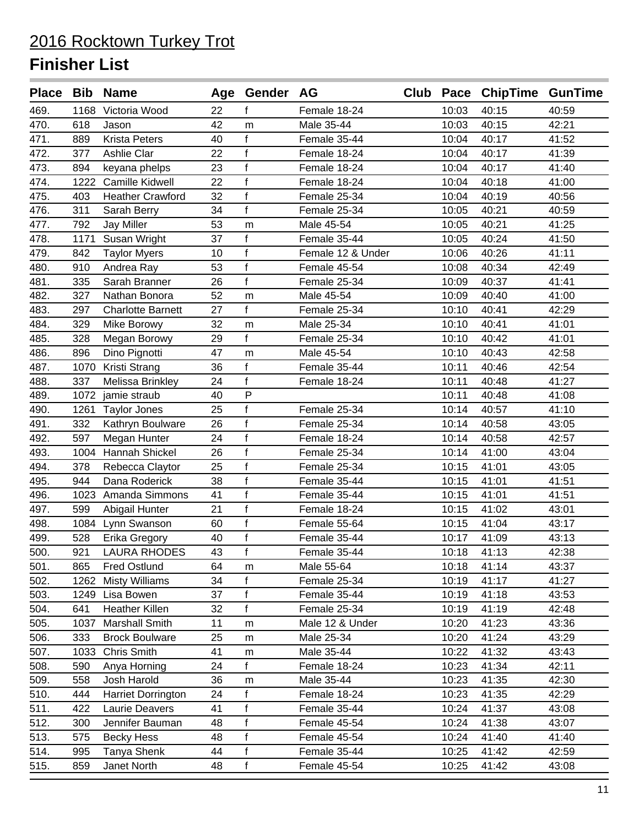|      |      | Place Bib Name           |    | Age Gender AG  |                   |       | Club Pace ChipTime GunTime |       |
|------|------|--------------------------|----|----------------|-------------------|-------|----------------------------|-------|
| 469. |      | 1168 Victoria Wood       | 22 | f              | Female 18-24      | 10:03 | 40:15                      | 40:59 |
| 470. | 618  | Jason                    | 42 | m              | Male 35-44        | 10:03 | 40:15                      | 42:21 |
| 471. | 889  | <b>Krista Peters</b>     | 40 | f              | Female 35-44      | 10:04 | 40:17                      | 41:52 |
| 472. | 377  | Ashlie Clar              | 22 | $\mathsf{f}$   | Female 18-24      | 10:04 | 40:17                      | 41:39 |
| 473. | 894  | keyana phelps            | 23 | $\mathbf f$    | Female 18-24      | 10:04 | 40:17                      | 41:40 |
| 474. |      | 1222 Camille Kidwell     | 22 | f              | Female 18-24      | 10:04 | 40:18                      | 41:00 |
| 475. | 403  | <b>Heather Crawford</b>  | 32 | $\mathsf{f}$   | Female 25-34      | 10:04 | 40:19                      | 40:56 |
| 476. | 311  | Sarah Berry              | 34 | f              | Female 25-34      | 10:05 | 40:21                      | 40:59 |
| 477. | 792  | <b>Jay Miller</b>        | 53 | m              | Male 45-54        | 10:05 | 40:21                      | 41:25 |
| 478. | 1171 | Susan Wright             | 37 | f              | Female 35-44      | 10:05 | 40:24                      | 41:50 |
| 479. | 842  | <b>Taylor Myers</b>      | 10 | $\mathsf f$    | Female 12 & Under | 10:06 | 40:26                      | 41:11 |
| 480. | 910  | Andrea Ray               | 53 | $\mathbf{f}$   | Female 45-54      | 10:08 | 40:34                      | 42:49 |
| 481. | 335  | Sarah Branner            | 26 | f              | Female 25-34      | 10:09 | 40:37                      | 41:41 |
| 482. | 327  | Nathan Bonora            | 52 | m              | Male 45-54        | 10:09 | 40:40                      | 41:00 |
| 483. | 297  | <b>Charlotte Barnett</b> | 27 | f              | Female 25-34      | 10:10 | 40:41                      | 42:29 |
| 484. | 329  | Mike Borowy              | 32 | m              | Male 25-34        | 10:10 | 40:41                      | 41:01 |
| 485. | 328  | Megan Borowy             | 29 | f              | Female 25-34      | 10:10 | 40:42                      | 41:01 |
| 486. | 896  | Dino Pignotti            | 47 | m              | Male 45-54        | 10:10 | 40:43                      | 42:58 |
| 487. | 1070 | Kristi Strang            | 36 | $\mathsf{f}$   | Female 35-44      | 10:11 | 40:46                      | 42:54 |
| 488. | 337  | Melissa Brinkley         | 24 | f              | Female 18-24      | 10:11 | 40:48                      | 41:27 |
| 489. | 1072 | jamie straub             | 40 | $\mathsf{P}$   |                   | 10:11 | 40:48                      | 41:08 |
| 490. |      | 1261 Taylor Jones        | 25 | f              | Female 25-34      | 10:14 | 40:57                      | 41:10 |
| 491. | 332  | Kathryn Boulware         | 26 | $\mathbf f$    | Female 25-34      | 10:14 | 40:58                      | 43:05 |
| 492. | 597  | Megan Hunter             | 24 | f              | Female 18-24      | 10:14 | 40:58                      | 42:57 |
| 493. | 1004 | Hannah Shickel           | 26 | $\mathsf{f}$   | Female 25-34      | 10:14 | 41:00                      | 43:04 |
| 494. | 378  | Rebecca Claytor          | 25 | $\mathbf f$    | Female 25-34      | 10:15 | 41:01                      | 43:05 |
| 495. | 944  | Dana Roderick            | 38 | $\overline{f}$ | Female 35-44      | 10:15 | 41:01                      | 41:51 |
| 496. | 1023 | Amanda Simmons           | 41 | f              | Female 35-44      | 10:15 | 41:01                      | 41:51 |
| 497. | 599  | Abigail Hunter           | 21 | $\mathsf f$    | Female 18-24      | 10:15 | 41:02                      | 43:01 |
| 498. |      | 1084 Lynn Swanson        | 60 | $\mathbf{f}$   | Female 55-64      | 10:15 | 41:04                      | 43:17 |
| 499. | 528  | Erika Gregory            | 40 | $\mathsf f$    | Female 35-44      | 10:17 | 41:09                      | 43:13 |
| 500. | 921  | <b>LAURA RHODES</b>      | 43 | f              | Female 35-44      | 10:18 | 41:13                      | 42:38 |
| 501. | 865  | <b>Fred Ostlund</b>      | 64 | m              | Male 55-64        | 10:18 | 41:14                      | 43:37 |
| 502. | 1262 | <b>Misty Williams</b>    | 34 | f              | Female 25-34      | 10:19 | 41:17                      | 41:27 |
| 503. | 1249 | Lisa Bowen               | 37 | f              | Female 35-44      | 10:19 | 41:18                      | 43:53 |
| 504. | 641  | Heather Killen           | 32 | f              | Female 25-34      | 10:19 | 41:19                      | 42:48 |
| 505. | 1037 | Marshall Smith           | 11 | m              | Male 12 & Under   | 10:20 | 41:23                      | 43:36 |
| 506. | 333  | <b>Brock Boulware</b>    | 25 | m              | Male 25-34        | 10:20 | 41:24                      | 43:29 |
| 507. | 1033 | <b>Chris Smith</b>       | 41 | m              | Male 35-44        | 10:22 | 41:32                      | 43:43 |
| 508. | 590  | Anya Horning             | 24 | f              | Female 18-24      | 10:23 | 41:34                      | 42:11 |
| 509. | 558  | Josh Harold              | 36 | m              | Male 35-44        | 10:23 | 41:35                      | 42:30 |
| 510. | 444  | Harriet Dorrington       | 24 | f              | Female 18-24      | 10:23 | 41:35                      | 42:29 |
| 511. | 422  | Laurie Deavers           | 41 | f              | Female 35-44      | 10:24 | 41:37                      | 43:08 |
| 512. | 300  | Jennifer Bauman          | 48 | f              | Female 45-54      | 10:24 | 41:38                      | 43:07 |
| 513. | 575  | <b>Becky Hess</b>        | 48 | f              | Female 45-54      | 10:24 | 41:40                      | 41:40 |
| 514. | 995  | Tanya Shenk              | 44 | f              | Female 35-44      | 10:25 | 41:42                      | 42:59 |
| 515. | 859  | Janet North              | 48 | $\mathsf f$    | Female 45-54      | 10:25 | 41:42                      | 43:08 |
|      |      |                          |    |                |                   |       |                            |       |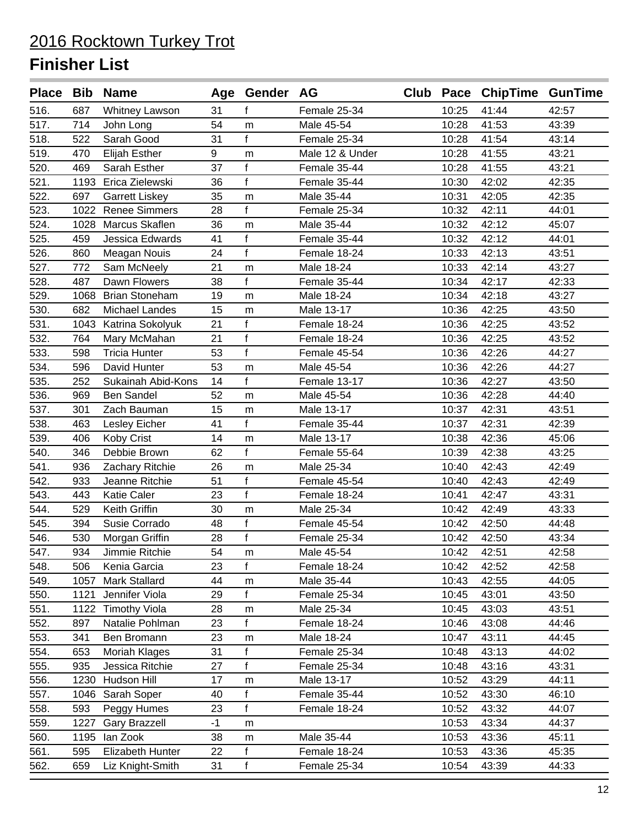|      |      | Place Bib Name        |      | Age Gender AG |                 |       | Club Pace ChipTime GunTime |       |
|------|------|-----------------------|------|---------------|-----------------|-------|----------------------------|-------|
| 516. | 687  | <b>Whitney Lawson</b> | 31   | f             | Female 25-34    | 10:25 | 41:44                      | 42:57 |
| 517. | 714  | John Long             | 54   | m             | Male 45-54      | 10:28 | 41:53                      | 43:39 |
| 518. | 522  | Sarah Good            | 31   | f             | Female 25-34    | 10:28 | 41:54                      | 43:14 |
| 519. | 470  | <b>Elijah Esther</b>  | 9    | m             | Male 12 & Under | 10:28 | 41:55                      | 43:21 |
| 520. | 469  | Sarah Esther          | 37   | f             | Female 35-44    | 10:28 | 41:55                      | 43:21 |
| 521. | 1193 | Erica Zielewski       | 36   | f             | Female 35-44    | 10:30 | 42:02                      | 42:35 |
| 522. | 697  | <b>Garrett Liskey</b> | 35   | m             | Male 35-44      | 10:31 | 42:05                      | 42:35 |
| 523. |      | 1022 Renee Simmers    | 28   | f             | Female 25-34    | 10:32 | 42:11                      | 44:01 |
| 524. | 1028 | Marcus Skaflen        | 36   | m             | Male 35-44      | 10:32 | 42:12                      | 45:07 |
| 525. | 459  | Jessica Edwards       | 41   | f             | Female 35-44    | 10:32 | 42:12                      | 44:01 |
| 526. | 860  | Meagan Nouis          | 24   | $\mathbf{f}$  | Female 18-24    | 10:33 | 42:13                      | 43:51 |
| 527. | 772  | Sam McNeely           | 21   | m             | Male 18-24      | 10:33 | 42:14                      | 43:27 |
| 528. | 487  | Dawn Flowers          | 38   | f             | Female 35-44    | 10:34 | 42:17                      | 42:33 |
| 529. | 1068 | <b>Brian Stoneham</b> | 19   | m             | Male 18-24      | 10:34 | 42:18                      | 43:27 |
| 530. | 682  | Michael Landes        | 15   | m             | Male 13-17      | 10:36 | 42:25                      | 43:50 |
| 531. | 1043 | Katrina Sokolyuk      | 21   | $\mathbf{f}$  | Female 18-24    | 10:36 | 42:25                      | 43:52 |
| 532. | 764  | Mary McMahan          | 21   | f             | Female 18-24    | 10:36 | 42:25                      | 43:52 |
| 533. | 598  | <b>Tricia Hunter</b>  | 53   | $\mathbf{f}$  | Female 45-54    | 10:36 | 42:26                      | 44:27 |
| 534. | 596  | David Hunter          | 53   | m             | Male 45-54      | 10:36 | 42:26                      | 44:27 |
| 535. | 252  | Sukainah Abid-Kons    | 14   | f             | Female 13-17    | 10:36 | 42:27                      | 43:50 |
| 536. | 969  | Ben Sandel            | 52   | m             | Male 45-54      | 10:36 | 42:28                      | 44:40 |
| 537. | 301  | Zach Bauman           | 15   | m             | Male 13-17      | 10:37 | 42:31                      | 43:51 |
| 538. | 463  | Lesley Eicher         | 41   | f             | Female 35-44    | 10:37 | 42:31                      | 42:39 |
| 539. | 406  | Koby Crist            | 14   | m             | Male 13-17      | 10:38 | 42:36                      | 45:06 |
| 540. | 346  | Debbie Brown          | 62   | f             | Female 55-64    | 10:39 | 42:38                      | 43:25 |
| 541. | 936  | Zachary Ritchie       | 26   | m             | Male 25-34      | 10:40 | 42:43                      | 42:49 |
| 542. | 933  | Jeanne Ritchie        | 51   | f             | Female 45-54    | 10:40 | 42:43                      | 42:49 |
| 543. | 443  | <b>Katie Caler</b>    | 23   | f             | Female 18-24    | 10:41 | 42:47                      | 43:31 |
| 544. | 529  | Keith Griffin         | 30   | m             | Male 25-34      | 10:42 | 42:49                      | 43:33 |
| 545. | 394  | Susie Corrado         | 48   | f             | Female 45-54    | 10:42 | 42:50                      | 44:48 |
| 546. | 530  | Morgan Griffin        | 28   | $\mathsf f$   | Female 25-34    | 10:42 | 42:50                      | 43:34 |
| 547. | 934  | Jimmie Ritchie        | 54   | m             | Male 45-54      | 10:42 | 42:51                      | 42:58 |
| 548. | 506  | Kenia Garcia          | 23   | f             | Female 18-24    | 10:42 | 42:52                      | 42:58 |
| 549. | 1057 | <b>Mark Stallard</b>  | 44   | m             | Male 35-44      | 10:43 | 42:55                      | 44:05 |
| 550. | 1121 | Jennifer Viola        | 29   | f             | Female 25-34    | 10:45 | 43:01                      | 43:50 |
| 551. | 1122 | <b>Timothy Viola</b>  | 28   | m             | Male 25-34      | 10:45 | 43:03                      | 43:51 |
| 552. | 897  | Natalie Pohlman       | 23   | $\mathbf{f}$  | Female 18-24    | 10:46 | 43:08                      | 44:46 |
| 553. | 341  | Ben Bromann           | 23   | m             | Male 18-24      | 10:47 | 43:11                      | 44:45 |
| 554. | 653  | Moriah Klages         | 31   | f             | Female 25-34    | 10:48 | 43:13                      | 44:02 |
| 555. | 935  | Jessica Ritchie       | 27   | $\mathsf f$   | Female 25-34    | 10:48 | 43:16                      | 43:31 |
| 556. | 1230 | Hudson Hill           | 17   | m             | Male 13-17      | 10:52 | 43:29                      | 44:11 |
| 557. | 1046 | Sarah Soper           | 40   | f             | Female 35-44    | 10:52 | 43:30                      | 46:10 |
| 558. | 593  | Peggy Humes           | 23   | f             | Female 18-24    | 10:52 | 43:32                      | 44:07 |
| 559. | 1227 | <b>Gary Brazzell</b>  | $-1$ | m             |                 | 10:53 | 43:34                      | 44:37 |
| 560. | 1195 | lan Zook              | 38   | m             | Male 35-44      | 10:53 | 43:36                      | 45:11 |
| 561. | 595  | Elizabeth Hunter      | 22   | f             | Female 18-24    | 10:53 | 43:36                      | 45:35 |
| 562. | 659  | Liz Knight-Smith      | 31   | f             | Female 25-34    | 10:54 | 43:39                      | 44:33 |
|      |      |                       |      |               |                 |       |                            |       |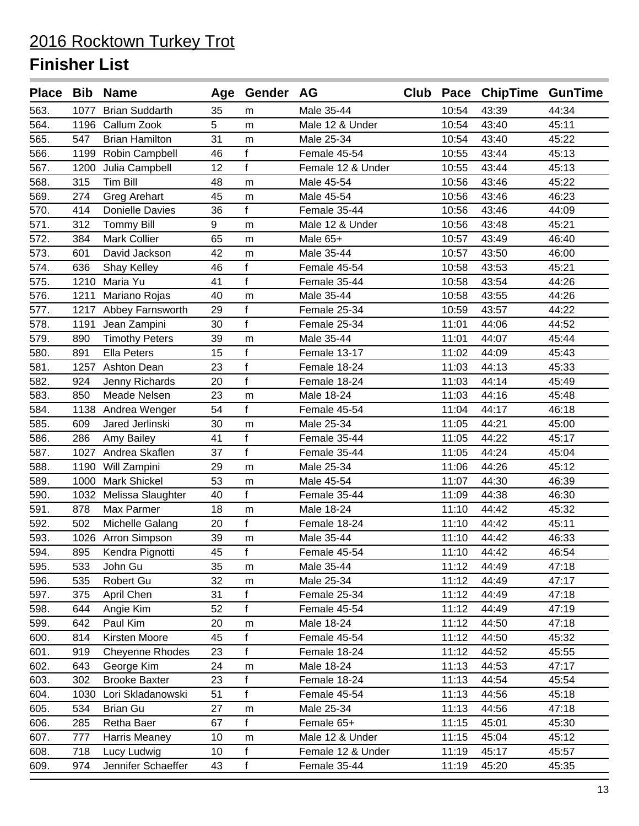|      |      | Place Bib Name         |    | Age Gender AG |                   |       | Club Pace ChipTime GunTime |       |
|------|------|------------------------|----|---------------|-------------------|-------|----------------------------|-------|
| 563. | 1077 | <b>Brian Suddarth</b>  | 35 | m             | Male 35-44        | 10:54 | 43:39                      | 44:34 |
| 564. |      | 1196 Callum Zook       | 5  | m             | Male 12 & Under   | 10:54 | 43:40                      | 45:11 |
| 565. | 547  | <b>Brian Hamilton</b>  | 31 | m             | Male 25-34        | 10:54 | 43:40                      | 45:22 |
| 566. | 1199 | Robin Campbell         | 46 | $\mathsf{f}$  | Female 45-54      | 10:55 | 43:44                      | 45:13 |
| 567. | 1200 | Julia Campbell         | 12 | f             | Female 12 & Under | 10:55 | 43:44                      | 45:13 |
| 568. | 315  | <b>Tim Bill</b>        | 48 | m             | Male 45-54        | 10:56 | 43:46                      | 45:22 |
| 569. | 274  | <b>Greg Arehart</b>    | 45 | m             | Male 45-54        | 10:56 | 43:46                      | 46:23 |
| 570. | 414  | <b>Donielle Davies</b> | 36 | f             | Female 35-44      | 10:56 | 43:46                      | 44:09 |
| 571. | 312  | <b>Tommy Bill</b>      | 9  | m             | Male 12 & Under   | 10:56 | 43:48                      | 45:21 |
| 572. | 384  | <b>Mark Collier</b>    | 65 | m             | Male 65+          | 10:57 | 43:49                      | 46:40 |
| 573. | 601  | David Jackson          | 42 | m             | Male 35-44        | 10:57 | 43:50                      | 46:00 |
| 574. | 636  | Shay Kelley            | 46 | f             | Female 45-54      | 10:58 | 43:53                      | 45:21 |
| 575. | 1210 | Maria Yu               | 41 | f             | Female 35-44      | 10:58 | 43:54                      | 44:26 |
| 576. | 1211 | Mariano Rojas          | 40 | m             | Male 35-44        | 10:58 | 43:55                      | 44:26 |
| 577. |      | 1217 Abbey Farnsworth  | 29 | f             | Female 25-34      | 10:59 | 43:57                      | 44:22 |
| 578. | 1191 | Jean Zampini           | 30 | f             | Female 25-34      | 11:01 | 44:06                      | 44:52 |
| 579. | 890  | <b>Timothy Peters</b>  | 39 | m             | Male 35-44        | 11:01 | 44:07                      | 45:44 |
| 580. | 891  | <b>Ella Peters</b>     | 15 | $\mathbf{f}$  | Female 13-17      | 11:02 | 44:09                      | 45:43 |
| 581. | 1257 | <b>Ashton Dean</b>     | 23 | $\mathbf{f}$  | Female 18-24      | 11:03 | 44:13                      | 45:33 |
| 582. | 924  | Jenny Richards         | 20 | f             | Female 18-24      | 11:03 | 44:14                      | 45:49 |
| 583. | 850  | Meade Nelsen           | 23 | m             | Male 18-24        | 11:03 | 44:16                      | 45:48 |
| 584. |      | 1138 Andrea Wenger     | 54 | f             | Female 45-54      | 11:04 | 44:17                      | 46:18 |
| 585. | 609  | Jared Jerlinski        | 30 | m             | Male 25-34        | 11:05 | 44:21                      | 45:00 |
| 586. | 286  | Amy Bailey             | 41 | f             | Female 35-44      | 11:05 | 44:22                      | 45:17 |
| 587. | 1027 | Andrea Skaflen         | 37 | f             | Female 35-44      | 11:05 | 44:24                      | 45:04 |
| 588. | 1190 | Will Zampini           | 29 | m             | Male 25-34        | 11:06 | 44:26                      | 45:12 |
| 589. | 1000 | <b>Mark Shickel</b>    | 53 | ${\sf m}$     | Male 45-54        | 11:07 | 44:30                      | 46:39 |
| 590. |      | 1032 Melissa Slaughter | 40 | f             | Female 35-44      | 11:09 | 44:38                      | 46:30 |
| 591. | 878  | Max Parmer             | 18 | m             | Male 18-24        | 11:10 | 44:42                      | 45:32 |
| 592. | 502  | Michelle Galang        | 20 | f             | Female 18-24      | 11:10 | 44:42                      | 45:11 |
| 593. |      | 1026 Arron Simpson     | 39 | m             | Male 35-44        | 11:10 | 44:42                      | 46:33 |
| 594. | 895  | Kendra Pignotti        | 45 | f             | Female 45-54      | 11:10 | 44:42                      | 46:54 |
| 595. | 533  | John Gu                | 35 | m             | Male 35-44        | 11:12 | 44:49                      | 47:18 |
| 596. | 535  | Robert Gu              | 32 | m             | Male 25-34        | 11:12 | 44:49                      | 47:17 |
| 597. | 375  | April Chen             | 31 | f             | Female 25-34      | 11:12 | 44:49                      | 47:18 |
| 598. | 644  | Angie Kim              | 52 | f             | Female 45-54      | 11:12 | 44:49                      | 47:19 |
| 599. | 642  | Paul Kim               | 20 | m             | Male 18-24        | 11:12 | 44:50                      | 47:18 |
| 600. | 814  | Kirsten Moore          | 45 | $\mathbf{f}$  | Female 45-54      | 11:12 | 44:50                      | 45:32 |
| 601. | 919  | Cheyenne Rhodes        | 23 | $\mathsf{f}$  | Female 18-24      | 11:12 | 44:52                      | 45:55 |
| 602. | 643  | George Kim             | 24 | m             | Male 18-24        | 11:13 | 44:53                      | 47:17 |
| 603. | 302  | <b>Brooke Baxter</b>   | 23 | $\mathsf{f}$  | Female 18-24      | 11:13 | 44:54                      | 45:54 |
| 604. | 1030 | Lori Skladanowski      | 51 | $\mathsf{f}$  | Female 45-54      | 11:13 | 44:56                      | 45:18 |
| 605. | 534  | <b>Brian Gu</b>        | 27 | m             | Male 25-34        | 11:13 | 44:56                      | 47:18 |
| 606. | 285  | Retha Baer             | 67 | f             | Female 65+        | 11:15 | 45:01                      | 45:30 |
| 607. | 777  | Harris Meaney          | 10 | m             | Male 12 & Under   | 11:15 | 45:04                      | 45:12 |
| 608. | 718  | Lucy Ludwig            | 10 | f             | Female 12 & Under | 11:19 | 45:17                      | 45:57 |
| 609. | 974  | Jennifer Schaeffer     | 43 | $\mathsf f$   | Female 35-44      | 11:19 | 45:20                      | 45:35 |
|      |      |                        |    |               |                   |       |                            |       |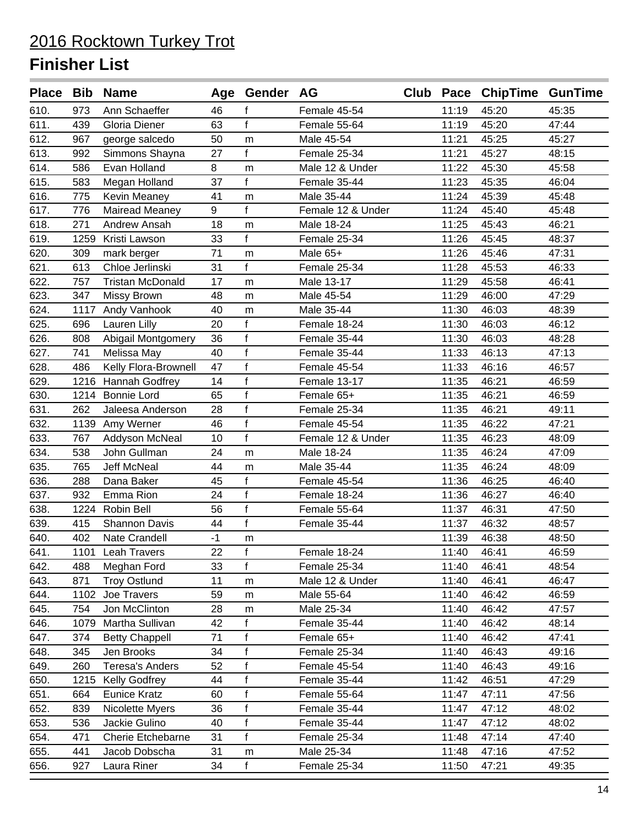|      |      | Place Bib Name          |      | Age Gender AG |                   |       | Club Pace ChipTime GunTime |       |
|------|------|-------------------------|------|---------------|-------------------|-------|----------------------------|-------|
| 610. | 973  | Ann Schaeffer           | 46   | f             | Female 45-54      | 11:19 | 45:20                      | 45:35 |
| 611. | 439  | Gloria Diener           | 63   | f             | Female 55-64      | 11:19 | 45:20                      | 47:44 |
| 612. | 967  | george salcedo          | 50   | m             | Male 45-54        | 11:21 | 45:25                      | 45:27 |
| 613. | 992  | Simmons Shayna          | 27   | f             | Female 25-34      | 11:21 | 45:27                      | 48:15 |
| 614. | 586  | Evan Holland            | 8    | m             | Male 12 & Under   | 11:22 | 45:30                      | 45:58 |
| 615. | 583  | Megan Holland           | 37   | f             | Female 35-44      | 11:23 | 45:35                      | 46:04 |
| 616. | 775  | <b>Kevin Meaney</b>     | 41   | m             | Male 35-44        | 11:24 | 45:39                      | 45:48 |
| 617. | 776  | <b>Mairead Meaney</b>   | 9    | f             | Female 12 & Under | 11:24 | 45:40                      | 45:48 |
| 618. | 271  | Andrew Ansah            | 18   | m             | Male 18-24        | 11:25 | 45:43                      | 46:21 |
| 619. | 1259 | Kristi Lawson           | 33   | f             | Female 25-34      | 11:26 | 45:45                      | 48:37 |
| 620. | 309  | mark berger             | 71   | m             | Male 65+          | 11:26 | 45:46                      | 47:31 |
| 621. | 613  | Chloe Jerlinski         | 31   | f             | Female 25-34      | 11:28 | 45:53                      | 46:33 |
| 622. | 757  | <b>Tristan McDonald</b> | 17   | m             | Male 13-17        | 11:29 | 45:58                      | 46:41 |
| 623. | 347  | Missy Brown             | 48   | m             | Male 45-54        | 11:29 | 46:00                      | 47:29 |
| 624. |      | 1117 Andy Vanhook       | 40   | m             | Male 35-44        | 11:30 | 46:03                      | 48:39 |
| 625. | 696  | Lauren Lilly            | 20   | f             | Female 18-24      | 11:30 | 46:03                      | 46:12 |
| 626. | 808  | Abigail Montgomery      | 36   | $\mathsf{f}$  | Female 35-44      | 11:30 | 46:03                      | 48:28 |
| 627. | 741  | Melissa May             | 40   | $\mathsf{f}$  | Female 35-44      | 11:33 | 46:13                      | 47:13 |
| 628. | 486  | Kelly Flora-Brownell    | 47   | $\mathsf{f}$  | Female 45-54      | 11:33 | 46:16                      | 46:57 |
| 629. |      | 1216 Hannah Godfrey     | 14   | $\mathsf{f}$  | Female 13-17      | 11:35 | 46:21                      | 46:59 |
| 630. |      | 1214 Bonnie Lord        | 65   | $\mathsf{f}$  | Female 65+        | 11:35 | 46:21                      | 46:59 |
| 631. | 262  | Jaleesa Anderson        | 28   | $\mathsf{f}$  | Female 25-34      | 11:35 | 46:21                      | 49:11 |
| 632. |      | 1139 Amy Werner         | 46   | $\mathsf{f}$  | Female 45-54      | 11:35 | 46:22                      | 47:21 |
| 633. | 767  | Addyson McNeal          | 10   | $\mathsf f$   | Female 12 & Under | 11:35 | 46:23                      | 48:09 |
| 634. | 538  | John Gullman            | 24   | m             | Male 18-24        | 11:35 | 46:24                      | 47:09 |
| 635. | 765  | Jeff McNeal             | 44   | m             | Male 35-44        | 11:35 | 46:24                      | 48:09 |
| 636. | 288  | Dana Baker              | 45   | f             | Female 45-54      | 11:36 | 46:25                      | 46:40 |
| 637. | 932  | Emma Rion               | 24   | f             | Female 18-24      | 11:36 | 46:27                      | 46:40 |
| 638. | 1224 | Robin Bell              | 56   | f             | Female 55-64      | 11:37 | 46:31                      | 47:50 |
| 639. | 415  | <b>Shannon Davis</b>    | 44   | f             | Female 35-44      | 11:37 | 46:32                      | 48:57 |
| 640. | 402  | Nate Crandell           | $-1$ | m             |                   | 11:39 | 46:38                      | 48:50 |
| 641. |      | 1101 Leah Travers       | 22   | f             | Female 18-24      | 11:40 | 46:41                      | 46:59 |
| 642. | 488  | Meghan Ford             | 33   | f             | Female 25-34      | 11:40 | 46:41                      | 48:54 |
| 643. | 871  | <b>Troy Ostlund</b>     | 11   | m             | Male 12 & Under   | 11:40 | 46:41                      | 46:47 |
| 644. | 1102 | Joe Travers             | 59   | m             | Male 55-64        | 11:40 | 46:42                      | 46:59 |
| 645. | 754  | Jon McClinton           | 28   | m             | Male 25-34        | 11:40 | 46:42                      | 47:57 |
| 646. | 1079 | Martha Sullivan         | 42   | f             | Female 35-44      | 11:40 | 46:42                      | 48:14 |
| 647. | 374  | <b>Betty Chappell</b>   | 71   | $\mathsf f$   | Female 65+        | 11:40 | 46:42                      | 47:41 |
| 648. | 345  | Jen Brooks              | 34   | $\mathsf{f}$  | Female 25-34      | 11:40 | 46:43                      | 49:16 |
| 649. | 260  | <b>Teresa's Anders</b>  | 52   | f             | Female 45-54      | 11:40 | 46:43                      | 49:16 |
| 650. | 1215 | <b>Kelly Godfrey</b>    | 44   | $\mathsf{f}$  | Female 35-44      | 11:42 | 46:51                      | 47:29 |
| 651. | 664  | <b>Eunice Kratz</b>     | 60   | $\mathsf f$   | Female 55-64      | 11:47 | 47:11                      | 47:56 |
| 652. | 839  | Nicolette Myers         | 36   | $\mathsf f$   | Female 35-44      | 11:47 | 47:12                      | 48:02 |
| 653. | 536  | Jackie Gulino           | 40   | $\mathsf f$   | Female 35-44      | 11:47 | 47:12                      | 48:02 |
| 654. | 471  | Cherie Etchebarne       | 31   | f             | Female 25-34      | 11:48 | 47:14                      | 47:40 |
| 655. | 441  | Jacob Dobscha           | 31   | m             | Male 25-34        | 11:48 | 47:16                      | 47:52 |
| 656. | 927  | Laura Riner             | 34   | f             | Female 25-34      | 11:50 | 47:21                      | 49:35 |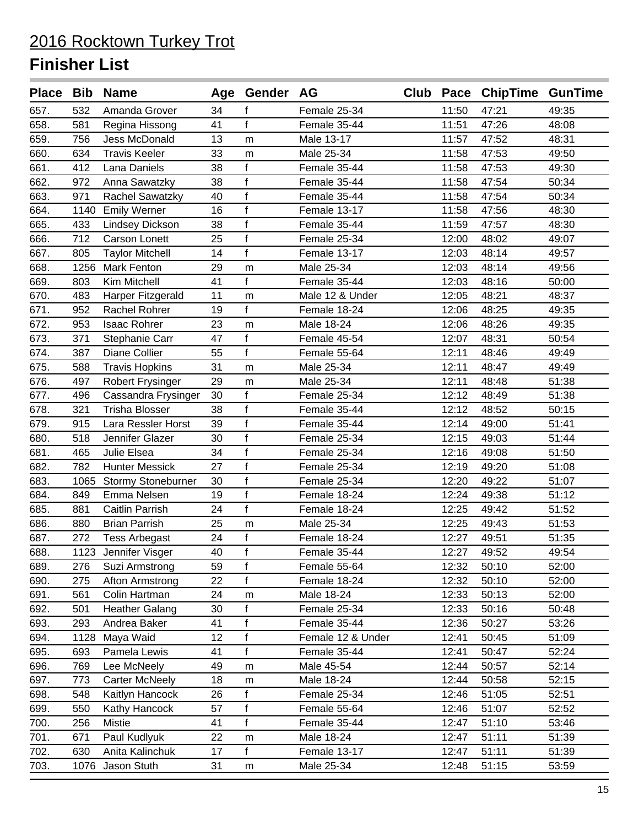|      |      | Place Bib Name            |    | Age Gender AG |                   |       | Club Pace ChipTime GunTime |       |
|------|------|---------------------------|----|---------------|-------------------|-------|----------------------------|-------|
| 657. | 532  | Amanda Grover             | 34 | f             | Female 25-34      | 11:50 | 47:21                      | 49:35 |
| 658. | 581  | Regina Hissong            | 41 | f             | Female 35-44      | 11:51 | 47:26                      | 48:08 |
| 659. | 756  | Jess McDonald             | 13 | ${\sf m}$     | Male 13-17        | 11:57 | 47:52                      | 48:31 |
| 660. | 634  | <b>Travis Keeler</b>      | 33 | m             | Male 25-34        | 11:58 | 47:53                      | 49:50 |
| 661. | 412  | Lana Daniels              | 38 | f             | Female 35-44      | 11:58 | 47:53                      | 49:30 |
| 662. | 972  | Anna Sawatzky             | 38 | f             | Female 35-44      | 11:58 | 47:54                      | 50:34 |
| 663. | 971  | Rachel Sawatzky           | 40 | $\mathsf{f}$  | Female 35-44      | 11:58 | 47:54                      | 50:34 |
| 664. | 1140 | <b>Emily Werner</b>       | 16 | f             | Female 13-17      | 11:58 | 47:56                      | 48:30 |
| 665. | 433  | <b>Lindsey Dickson</b>    | 38 | $\mathsf f$   | Female 35-44      | 11:59 | 47:57                      | 48:30 |
| 666. | 712  | Carson Lonett             | 25 | f             | Female 25-34      | 12:00 | 48:02                      | 49:07 |
| 667. | 805  | <b>Taylor Mitchell</b>    | 14 | f             | Female 13-17      | 12:03 | 48:14                      | 49:57 |
| 668. | 1256 | <b>Mark Fenton</b>        | 29 | m             | Male 25-34        | 12:03 | 48:14                      | 49:56 |
| 669. | 803  | Kim Mitchell              | 41 | f             | Female 35-44      | 12:03 | 48:16                      | 50:00 |
| 670. | 483  | Harper Fitzgerald         | 11 | m             | Male 12 & Under   | 12:05 | 48:21                      | 48:37 |
| 671. | 952  | Rachel Rohrer             | 19 | f             | Female 18-24      | 12:06 | 48:25                      | 49:35 |
| 672. | 953  | <b>Isaac Rohrer</b>       | 23 | m             | Male 18-24        | 12:06 | 48:26                      | 49:35 |
| 673. | 371  | Stephanie Carr            | 47 | f             | Female 45-54      | 12:07 | 48:31                      | 50:54 |
| 674. | 387  | <b>Diane Collier</b>      | 55 | f             | Female 55-64      | 12:11 | 48:46                      | 49:49 |
| 675. | 588  | <b>Travis Hopkins</b>     | 31 | m             | Male 25-34        | 12:11 | 48:47                      | 49:49 |
| 676. | 497  | <b>Robert Frysinger</b>   | 29 | m             | Male 25-34        | 12:11 | 48:48                      | 51:38 |
| 677. | 496  | Cassandra Frysinger       | 30 | f             | Female 25-34      | 12:12 | 48:49                      | 51:38 |
| 678. | 321  | <b>Trisha Blosser</b>     | 38 | $\mathsf f$   | Female 35-44      | 12:12 | 48:52                      | 50:15 |
| 679. | 915  | Lara Ressler Horst        | 39 | $\mathbf{f}$  | Female 35-44      | 12:14 | 49:00                      | 51:41 |
| 680. | 518  | Jennifer Glazer           | 30 | f             | Female 25-34      | 12:15 | 49:03                      | 51:44 |
| 681. | 465  | Julie Elsea               | 34 | $\mathsf{f}$  | Female 25-34      | 12:16 | 49:08                      | 51:50 |
| 682. | 782  | <b>Hunter Messick</b>     | 27 | $\mathsf{f}$  | Female 25-34      | 12:19 | 49:20                      | 51:08 |
| 683. | 1065 | <b>Stormy Stoneburner</b> | 30 | f             | Female 25-34      | 12:20 | 49:22                      | 51:07 |
| 684. | 849  | Emma Nelsen               | 19 | f             | Female 18-24      | 12:24 | 49:38                      | 51:12 |
| 685. | 881  | Caitlin Parrish           | 24 | f             | Female 18-24      | 12:25 | 49:42                      | 51:52 |
| 686. | 880  | <b>Brian Parrish</b>      | 25 | m             | Male 25-34        | 12:25 | 49:43                      | 51:53 |
| 687. | 272  | <b>Tess Arbegast</b>      | 24 | f             | Female 18-24      | 12:27 | 49:51                      | 51:35 |
| 688. |      | 1123 Jennifer Visger      | 40 | $\mathsf{f}$  | Female 35-44      | 12:27 | 49:52                      | 49:54 |
| 689. | 276  | Suzi Armstrong            | 59 | f             | Female 55-64      | 12:32 | 50:10                      | 52:00 |
| 690. | 275  | Afton Armstrong           | 22 | f             | Female 18-24      | 12:32 | 50:10                      | 52:00 |
| 691. | 561  | Colin Hartman             | 24 | m             | Male 18-24        | 12:33 | 50:13                      | 52:00 |
| 692. | 501  | <b>Heather Galang</b>     | 30 | $\mathsf{f}$  | Female 25-34      | 12:33 | 50:16                      | 50:48 |
| 693. | 293  | Andrea Baker              | 41 | $\mathsf f$   | Female 35-44      | 12:36 | 50:27                      | 53:26 |
| 694. | 1128 | Maya Waid                 | 12 | f             | Female 12 & Under | 12:41 | 50:45                      | 51:09 |
| 695. | 693  | Pamela Lewis              | 41 | f             | Female 35-44      | 12:41 | 50:47                      | 52:24 |
| 696. | 769  | Lee McNeely               | 49 | m             | Male 45-54        | 12:44 | 50:57                      | 52:14 |
| 697. | 773  | <b>Carter McNeely</b>     | 18 | m             | Male 18-24        | 12:44 | 50:58                      | 52:15 |
| 698. | 548  | Kaitlyn Hancock           | 26 | f             | Female 25-34      | 12:46 | 51:05                      | 52:51 |
| 699. | 550  | Kathy Hancock             | 57 | f             | Female 55-64      | 12:46 | 51:07                      | 52:52 |
| 700. | 256  | <b>Mistie</b>             | 41 | f             | Female 35-44      | 12:47 | 51:10                      | 53:46 |
| 701. | 671  | Paul Kudlyuk              | 22 | m             | Male 18-24        | 12:47 | 51:11                      | 51:39 |
| 702. | 630  | Anita Kalinchuk           | 17 | f             | Female 13-17      | 12:47 | 51:11                      | 51:39 |
| 703. |      | 1076 Jason Stuth          | 31 | m             | Male 25-34        | 12:48 | 51:15                      | 53:59 |
|      |      |                           |    |               |                   |       |                            |       |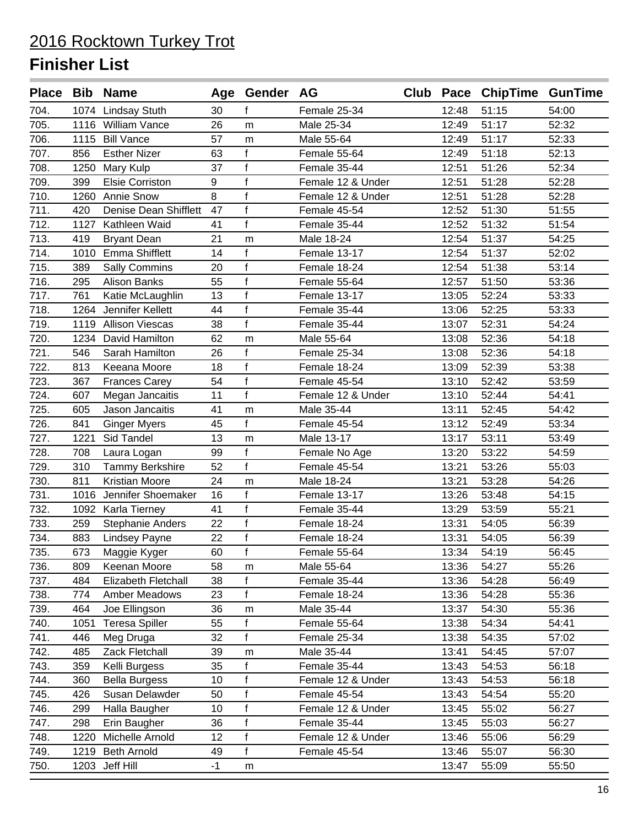|      |      | Place Bib Name               |      | Age Gender AG |                   |       | Club Pace ChipTime GunTime |       |
|------|------|------------------------------|------|---------------|-------------------|-------|----------------------------|-------|
| 704. |      | 1074 Lindsay Stuth           | 30   | f             | Female 25-34      | 12:48 | 51:15                      | 54:00 |
| 705. |      | 1116 William Vance           | 26   | m             | Male 25-34        | 12:49 | 51:17                      | 52:32 |
| 706. |      | 1115 Bill Vance              | 57   | m             | Male 55-64        | 12:49 | 51:17                      | 52:33 |
| 707. | 856  | <b>Esther Nizer</b>          | 63   | f             | Female 55-64      | 12:49 | 51:18                      | 52:13 |
| 708. | 1250 | Mary Kulp                    | 37   | f             | Female 35-44      | 12:51 | 51:26                      | 52:34 |
| 709. | 399  | <b>Elsie Corriston</b>       | 9    | f             | Female 12 & Under | 12:51 | 51:28                      | 52:28 |
| 710. | 1260 | <b>Annie Snow</b>            | 8    | $\mathsf{f}$  | Female 12 & Under | 12:51 | 51:28                      | 52:28 |
| 711. | 420  | <b>Denise Dean Shifflett</b> | 47   | f             | Female 45-54      | 12:52 | 51:30                      | 51:55 |
| 712. | 1127 | Kathleen Waid                | 41   | f             | Female 35-44      | 12:52 | 51:32                      | 51:54 |
| 713. | 419  | <b>Bryant Dean</b>           | 21   | m             | Male 18-24        | 12:54 | 51:37                      | 54:25 |
| 714. | 1010 | <b>Emma Shifflett</b>        | 14   | $\mathsf{f}$  | Female 13-17      | 12:54 | 51:37                      | 52:02 |
| 715. | 389  | <b>Sally Commins</b>         | 20   | $\mathsf f$   | Female 18-24      | 12:54 | 51:38                      | 53:14 |
| 716. | 295  | <b>Alison Banks</b>          | 55   | f             | Female 55-64      | 12:57 | 51:50                      | 53:36 |
| 717. | 761  | Katie McLaughlin             | 13   | f             | Female 13-17      | 13:05 | 52:24                      | 53:33 |
| 718. |      | 1264 Jennifer Kellett        | 44   | $\mathsf{f}$  | Female 35-44      | 13:06 | 52:25                      | 53:33 |
| 719. | 1119 | <b>Allison Viescas</b>       | 38   | f             | Female 35-44      | 13:07 | 52:31                      | 54:24 |
| 720. | 1234 | David Hamilton               | 62   | m             | Male 55-64        | 13:08 | 52:36                      | 54:18 |
| 721. | 546  | Sarah Hamilton               | 26   | $\mathsf f$   | Female 25-34      | 13:08 | 52:36                      | 54:18 |
| 722. | 813  | Keeana Moore                 | 18   | $\mathsf{f}$  | Female 18-24      | 13:09 | 52:39                      | 53:38 |
| 723. | 367  | <b>Frances Carey</b>         | 54   | f             | Female 45-54      | 13:10 | 52:42                      | 53:59 |
| 724. | 607  | Megan Jancaitis              | 11   | f             | Female 12 & Under | 13:10 | 52:44                      | 54:41 |
| 725. | 605  | Jason Jancaitis              | 41   | m             | Male 35-44        | 13:11 | 52:45                      | 54:42 |
| 726. | 841  | <b>Ginger Myers</b>          | 45   | f             | Female 45-54      | 13:12 | 52:49                      | 53:34 |
| 727. | 1221 | Sid Tandel                   | 13   | m             | Male 13-17        | 13:17 | 53:11                      | 53:49 |
| 728. | 708  | Laura Logan                  | 99   | f             | Female No Age     | 13:20 | 53:22                      | 54:59 |
| 729. | 310  | Tammy Berkshire              | 52   | f             | Female 45-54      | 13:21 | 53:26                      | 55:03 |
| 730. | 811  | <b>Kristian Moore</b>        | 24   | m             | Male 18-24        | 13:21 | 53:28                      | 54:26 |
| 731. | 1016 | Jennifer Shoemaker           | 16   | f             | Female 13-17      | 13:26 | 53:48                      | 54:15 |
| 732. |      | 1092 Karla Tierney           | 41   | $\mathsf f$   | Female 35-44      | 13:29 | 53:59                      | 55:21 |
| 733. | 259  | <b>Stephanie Anders</b>      | 22   | f             | Female 18-24      | 13:31 | 54:05                      | 56:39 |
| 734. | 883  | <b>Lindsey Payne</b>         | 22   | f             | Female 18-24      | 13:31 | 54:05                      | 56:39 |
| 735. | 673  | Maggie Kyger                 | 60   | f             | Female 55-64      | 13:34 | 54:19                      | 56:45 |
| 736. | 809  | Keenan Moore                 | 58   | m             | Male 55-64        | 13:36 | 54:27                      | 55:26 |
| 737. | 484  | Elizabeth Fletchall          | 38   | f             | Female 35-44      | 13:36 | 54:28                      | 56:49 |
| 738. | 774  | <b>Amber Meadows</b>         | 23   | $\mathsf{f}$  | Female 18-24      | 13:36 | 54:28                      | 55:36 |
| 739. | 464  | Joe Ellingson                | 36   | m             | Male 35-44        | 13:37 | 54:30                      | 55:36 |
| 740. | 1051 | <b>Teresa Spiller</b>        | 55   | f             | Female 55-64      | 13:38 | 54:34                      | 54:41 |
| 741. | 446  | Meg Druga                    | 32   | $\mathsf{f}$  | Female 25-34      | 13:38 | 54:35                      | 57:02 |
| 742. | 485  | Zack Fletchall               | 39   | m             | Male 35-44        | 13:41 | 54:45                      | 57:07 |
| 743. | 359  | Kelli Burgess                | 35   | f             | Female 35-44      | 13:43 | 54:53                      | 56:18 |
| 744. | 360  | <b>Bella Burgess</b>         | 10   | f             | Female 12 & Under | 13:43 | 54:53                      | 56:18 |
| 745. | 426  | Susan Delawder               | 50   | f             | Female 45-54      | 13:43 | 54:54                      | 55:20 |
| 746. | 299  | Halla Baugher                | 10   | $\mathsf f$   | Female 12 & Under | 13:45 | 55:02                      | 56:27 |
| 747. | 298  | Erin Baugher                 | 36   | $\mathsf f$   | Female 35-44      | 13:45 | 55:03                      | 56:27 |
| 748. | 1220 | Michelle Arnold              | 12   | f             | Female 12 & Under | 13:46 | 55:06                      | 56:29 |
| 749. | 1219 | <b>Beth Arnold</b>           | 49   | $\mathbf{f}$  | Female 45-54      | 13:46 | 55:07                      | 56:30 |
| 750. |      | 1203 Jeff Hill               | $-1$ | m             |                   | 13:47 | 55:09                      | 55:50 |
|      |      |                              |      |               |                   |       |                            |       |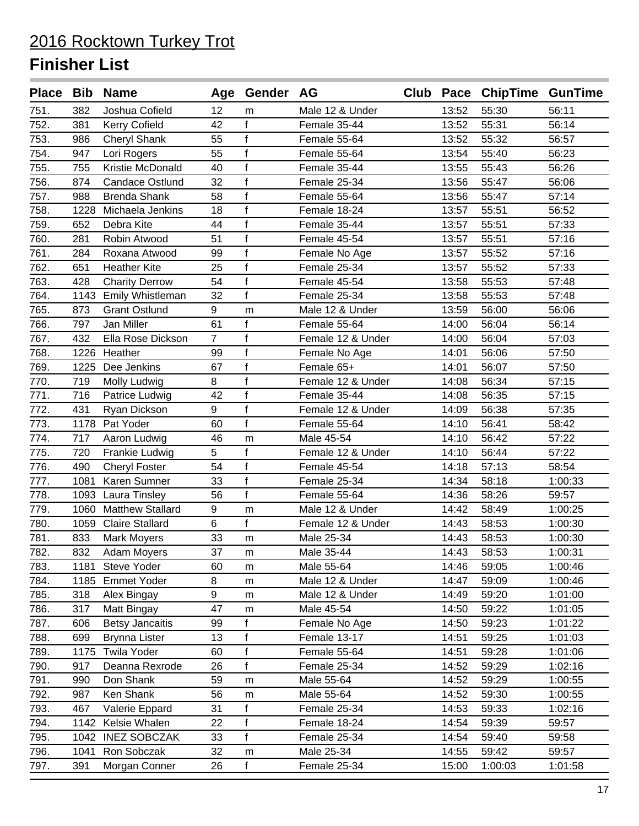|      |      | Place Bib Name          |                | Age Gender AG |                   |       | Club Pace ChipTime GunTime |         |
|------|------|-------------------------|----------------|---------------|-------------------|-------|----------------------------|---------|
| 751. | 382  | Joshua Cofield          | 12             | m             | Male 12 & Under   | 13:52 | 55:30                      | 56:11   |
| 752. | 381  | <b>Kerry Cofield</b>    | 42             | f             | Female 35-44      | 13:52 | 55:31                      | 56:14   |
| 753. | 986  | <b>Cheryl Shank</b>     | 55             | f             | Female 55-64      | 13:52 | 55:32                      | 56:57   |
| 754. | 947  | Lori Rogers             | 55             | $\mathsf f$   | Female 55-64      | 13:54 | 55:40                      | 56:23   |
| 755. | 755  | Kristie McDonald        | 40             | $\mathsf{f}$  | Female 35-44      | 13:55 | 55:43                      | 56:26   |
| 756. | 874  | Candace Ostlund         | 32             | $\mathsf{f}$  | Female 25-34      | 13:56 | 55:47                      | 56:06   |
| 757. | 988  | <b>Brenda Shank</b>     | 58             | $\mathsf{f}$  | Female 55-64      | 13:56 | 55:47                      | 57:14   |
| 758. | 1228 | Michaela Jenkins        | 18             | $\mathsf{f}$  | Female 18-24      | 13:57 | 55:51                      | 56:52   |
| 759. | 652  | Debra Kite              | 44             | $\mathsf{f}$  | Female 35-44      | 13:57 | 55:51                      | 57:33   |
| 760. | 281  | Robin Atwood            | 51             | $\mathsf{f}$  | Female 45-54      | 13:57 | 55:51                      | 57:16   |
| 761. | 284  | Roxana Atwood           | 99             | $\mathsf{f}$  | Female No Age     | 13:57 | 55:52                      | 57:16   |
| 762. | 651  | <b>Heather Kite</b>     | 25             | $\mathsf{f}$  | Female 25-34      | 13:57 | 55:52                      | 57:33   |
| 763. | 428  | <b>Charity Derrow</b>   | 54             | $\mathsf f$   | Female 45-54      | 13:58 | 55:53                      | 57:48   |
| 764. | 1143 | Emily Whistleman        | 32             | f             | Female 25-34      | 13:58 | 55:53                      | 57:48   |
| 765. | 873  | <b>Grant Ostlund</b>    | 9              | m             | Male 12 & Under   | 13:59 | 56:00                      | 56:06   |
| 766. | 797  | Jan Miller              | 61             | f             | Female 55-64      | 14:00 | 56:04                      | 56:14   |
| 767. | 432  | Ella Rose Dickson       | $\overline{7}$ | $\mathsf{f}$  | Female 12 & Under | 14:00 | 56:04                      | 57:03   |
| 768. | 1226 | Heather                 | 99             | $\mathsf{f}$  | Female No Age     | 14:01 | 56:06                      | 57:50   |
| 769. | 1225 | Dee Jenkins             | 67             | $\mathsf{f}$  | Female 65+        | 14:01 | 56:07                      | 57:50   |
| 770. | 719  | Molly Ludwig            | 8              | $\mathsf{f}$  | Female 12 & Under | 14:08 | 56:34                      | 57:15   |
| 771. | 716  | Patrice Ludwig          | 42             | f             | Female 35-44      | 14:08 | 56:35                      | 57:15   |
| 772. | 431  | Ryan Dickson            | 9              | $\mathsf{f}$  | Female 12 & Under | 14:09 | 56:38                      | 57:35   |
| 773. | 1178 | Pat Yoder               | 60             | f             | Female 55-64      | 14:10 | 56:41                      | 58:42   |
| 774. | 717  | Aaron Ludwig            | 46             | m             | Male 45-54        | 14:10 | 56:42                      | 57:22   |
| 775. | 720  | Frankie Ludwig          | 5              | $\mathsf{f}$  | Female 12 & Under | 14:10 | 56:44                      | 57:22   |
| 776. | 490  | <b>Cheryl Foster</b>    | 54             | $\mathsf{f}$  | Female 45-54      | 14:18 | 57:13                      | 58:54   |
| 777. | 1081 | Karen Sumner            | 33             | f             | Female 25-34      | 14:34 | 58:18                      | 1:00:33 |
| 778. | 1093 | Laura Tinsley           | 56             | f             | Female 55-64      | 14:36 | 58:26                      | 59:57   |
| 779. | 1060 | <b>Matthew Stallard</b> | 9              | m             | Male 12 & Under   | 14:42 | 58:49                      | 1:00:25 |
| 780. |      | 1059 Claire Stallard    | 6              | f             | Female 12 & Under | 14:43 | 58:53                      | 1:00:30 |
| 781. | 833  | <b>Mark Moyers</b>      | 33             | m             | Male 25-34        | 14:43 | 58:53                      | 1:00:30 |
| 782. | 832  | Adam Moyers             | 37             | m             | Male 35-44        | 14:43 | 58:53                      | 1:00:31 |
| 783. |      | 1181 Steve Yoder        | 60             | m             | Male 55-64        | 14:46 | 59:05                      | 1:00:46 |
| 784. |      | 1185 Emmet Yoder        | 8              | m             | Male 12 & Under   | 14:47 | 59:09                      | 1:00:46 |
| 785. | 318  | Alex Bingay             | 9              | m             | Male 12 & Under   | 14:49 | 59:20                      | 1:01:00 |
| 786. | 317  | Matt Bingay             | 47             | m             | Male 45-54        | 14:50 | 59:22                      | 1:01:05 |
| 787. | 606  | <b>Betsy Jancaitis</b>  | 99             | f             | Female No Age     | 14:50 | 59:23                      | 1:01:22 |
| 788. | 699  | <b>Brynna Lister</b>    | 13             | $\mathsf f$   | Female 13-17      | 14:51 | 59:25                      | 1:01:03 |
| 789. | 1175 | <b>Twila Yoder</b>      | 60             | f             | Female 55-64      | 14:51 | 59:28                      | 1:01:06 |
| 790. | 917  | Deanna Rexrode          | 26             | f             | Female 25-34      | 14:52 | 59:29                      | 1:02:16 |
| 791. | 990  | Don Shank               | 59             | m             | Male 55-64        | 14:52 | 59:29                      | 1:00:55 |
| 792. | 987  | Ken Shank               | 56             | m             | Male 55-64        | 14:52 | 59:30                      | 1:00:55 |
| 793. | 467  | Valerie Eppard          | 31             | f             | Female 25-34      | 14:53 | 59:33                      | 1:02:16 |
| 794. | 1142 | Kelsie Whalen           | 22             | $\mathsf f$   | Female 18-24      | 14:54 | 59:39                      | 59:57   |
| 795. |      | 1042 INEZ SOBCZAK       | 33             | f             | Female 25-34      | 14:54 | 59:40                      | 59:58   |
| 796. | 1041 | Ron Sobczak             | 32             | m             | Male 25-34        | 14:55 | 59:42                      | 59:57   |
| 797. | 391  | Morgan Conner           | 26             | f             | Female 25-34      | 15:00 | 1:00:03                    | 1:01:58 |
|      |      |                         |                |               |                   |       |                            |         |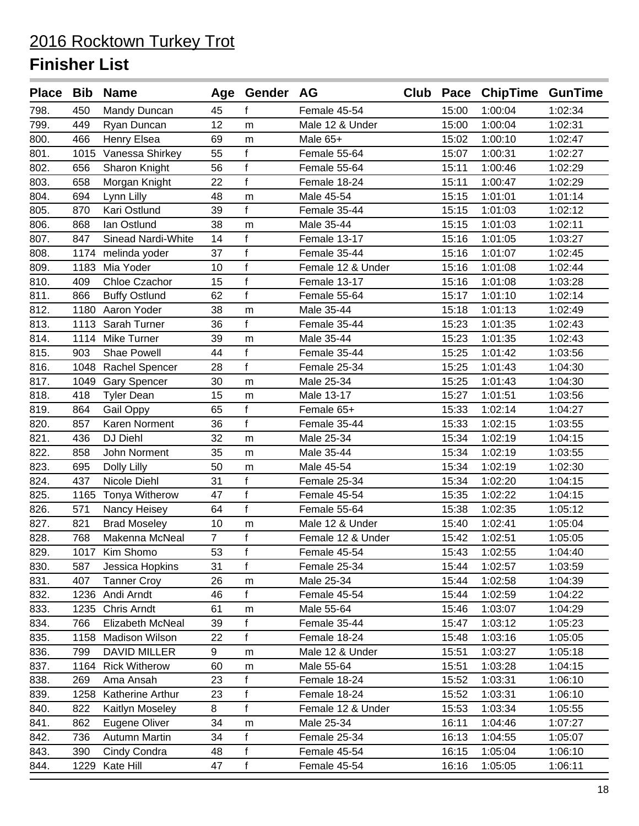|      |      | Place Bib Name            |                | Age Gender AG |                   |       | Club Pace ChipTime GunTime |         |
|------|------|---------------------------|----------------|---------------|-------------------|-------|----------------------------|---------|
| 798. | 450  | Mandy Duncan              | 45             | f             | Female 45-54      | 15:00 | 1:00:04                    | 1:02:34 |
| 799. | 449  | Ryan Duncan               | 12             | m             | Male 12 & Under   | 15:00 | 1:00:04                    | 1:02:31 |
| 800. | 466  | Henry Elsea               | 69             | m             | Male 65+          | 15:02 | 1:00:10                    | 1:02:47 |
| 801. | 1015 | Vanessa Shirkey           | 55             | $\mathsf f$   | Female 55-64      | 15:07 | 1:00:31                    | 1:02:27 |
| 802. | 656  | Sharon Knight             | 56             | f             | Female 55-64      | 15:11 | 1:00:46                    | 1:02:29 |
| 803. | 658  | Morgan Knight             | 22             | f             | Female 18-24      | 15:11 | 1:00:47                    | 1:02:29 |
| 804. | 694  | Lynn Lilly                | 48             | m             | Male 45-54        | 15:15 | 1:01:01                    | 1:01:14 |
| 805. | 870  | Kari Ostlund              | 39             | f             | Female 35-44      | 15:15 | 1:01:03                    | 1:02:12 |
| 806. | 868  | lan Ostlund               | 38             | m             | Male 35-44        | 15:15 | 1:01:03                    | 1:02:11 |
| 807. | 847  | <b>Sinead Nardi-White</b> | 14             | f             | Female 13-17      | 15:16 | 1:01:05                    | 1:03:27 |
| 808. | 1174 | melinda yoder             | 37             | $\mathsf f$   | Female 35-44      | 15:16 | 1:01:07                    | 1:02:45 |
| 809. |      | 1183 Mia Yoder            | 10             | f             | Female 12 & Under | 15:16 | 1:01:08                    | 1:02:44 |
| 810. | 409  | Chloe Czachor             | 15             | $\mathsf f$   | Female 13-17      | 15:16 | 1:01:08                    | 1:03:28 |
| 811. | 866  | <b>Buffy Ostlund</b>      | 62             | f             | Female 55-64      | 15:17 | 1:01:10                    | 1:02:14 |
| 812. |      | 1180 Aaron Yoder          | 38             | m             | Male 35-44        | 15:18 | 1:01:13                    | 1:02:49 |
| 813. | 1113 | Sarah Turner              | 36             | $\mathsf{f}$  | Female 35-44      | 15:23 | 1:01:35                    | 1:02:43 |
| 814. | 1114 | Mike Turner               | 39             | m             | Male 35-44        | 15:23 | 1:01:35                    | 1:02:43 |
| 815. | 903  | <b>Shae Powell</b>        | 44             | f             | Female 35-44      | 15:25 | 1:01:42                    | 1:03:56 |
| 816. |      | 1048 Rachel Spencer       | 28             | f             | Female 25-34      | 15:25 | 1:01:43                    | 1:04:30 |
| 817. |      | 1049 Gary Spencer         | 30             | m             | Male 25-34        | 15:25 | 1:01:43                    | 1:04:30 |
| 818. | 418  | <b>Tyler Dean</b>         | 15             | m             | Male 13-17        | 15:27 | 1:01:51                    | 1:03:56 |
| 819. | 864  | Gail Oppy                 | 65             | f             | Female 65+        | 15:33 | 1:02:14                    | 1:04:27 |
| 820. | 857  | Karen Norment             | 36             | f             | Female 35-44      | 15:33 | 1:02:15                    | 1:03:55 |
| 821. | 436  | DJ Diehl                  | 32             | m             | Male 25-34        | 15:34 | 1:02:19                    | 1:04:15 |
| 822. | 858  | John Norment              | 35             | m             | Male 35-44        | 15:34 | 1:02:19                    | 1:03:55 |
| 823. | 695  | Dolly Lilly               | 50             | m             | Male 45-54        | 15:34 | 1:02:19                    | 1:02:30 |
| 824. | 437  | Nicole Diehl              | 31             | f             | Female 25-34      | 15:34 | 1:02:20                    | 1:04:15 |
| 825. | 1165 | Tonya Witherow            | 47             | f             | Female 45-54      | 15:35 | 1:02:22                    | 1:04:15 |
| 826. | 571  | Nancy Heisey              | 64             | $\mathbf{f}$  | Female 55-64      | 15:38 | 1:02:35                    | 1:05:12 |
| 827. | 821  | <b>Brad Moseley</b>       | 10             | m             | Male 12 & Under   | 15:40 | 1:02:41                    | 1:05:04 |
| 828. | 768  | Makenna McNeal            | $\overline{7}$ | $\mathsf{f}$  | Female 12 & Under | 15:42 | 1:02:51                    | 1:05:05 |
| 829. |      | 1017 Kim Shomo            | 53             | $\mathsf f$   | Female 45-54      | 15:43 | 1:02:55                    | 1:04:40 |
| 830. | 587  | Jessica Hopkins           | 31             | f             | Female 25-34      | 15:44 | 1:02:57                    | 1:03:59 |
| 831. | 407  | <b>Tanner Croy</b>        | 26             | m             | Male 25-34        | 15:44 | 1:02:58                    | 1:04:39 |
| 832. | 1236 | Andi Arndt                | 46             | f             | Female 45-54      | 15:44 | 1:02:59                    | 1:04:22 |
| 833. | 1235 | Chris Arndt               | 61             | m             | Male 55-64        | 15:46 | 1:03:07                    | 1:04:29 |
| 834. | 766  | Elizabeth McNeal          | 39             | f             | Female 35-44      | 15:47 | 1:03:12                    | 1:05:23 |
| 835. | 1158 | <b>Madison Wilson</b>     | 22             | f             | Female 18-24      | 15:48 | 1:03:16                    | 1:05:05 |
| 836. | 799  | DAVID MILLER              | 9              | m             | Male 12 & Under   | 15:51 | 1:03:27                    | 1:05:18 |
| 837. | 1164 | <b>Rick Witherow</b>      | 60             | m             | Male 55-64        | 15:51 | 1:03:28                    | 1:04:15 |
| 838. | 269  | Ama Ansah                 | 23             | f             | Female 18-24      | 15:52 | 1:03:31                    | 1:06:10 |
| 839. | 1258 | Katherine Arthur          | 23             | f             | Female 18-24      | 15:52 | 1:03:31                    | 1:06:10 |
| 840. | 822  | Kaitlyn Moseley           | 8              | $\mathbf{f}$  | Female 12 & Under | 15:53 | 1:03:34                    | 1:05:55 |
| 841. | 862  | Eugene Oliver             | 34             | m             | Male 25-34        | 16:11 | 1:04:46                    | 1:07:27 |
| 842. | 736  | Autumn Martin             | 34             | f             | Female 25-34      | 16:13 | 1:04:55                    | 1:05:07 |
| 843. | 390  | Cindy Condra              | 48             | f             | Female 45-54      | 16:15 | 1:05:04                    | 1:06:10 |
| 844. | 1229 | Kate Hill                 | 47             | f             | Female 45-54      | 16:16 | 1:05:05                    | 1:06:11 |
|      |      |                           |                |               |                   |       |                            |         |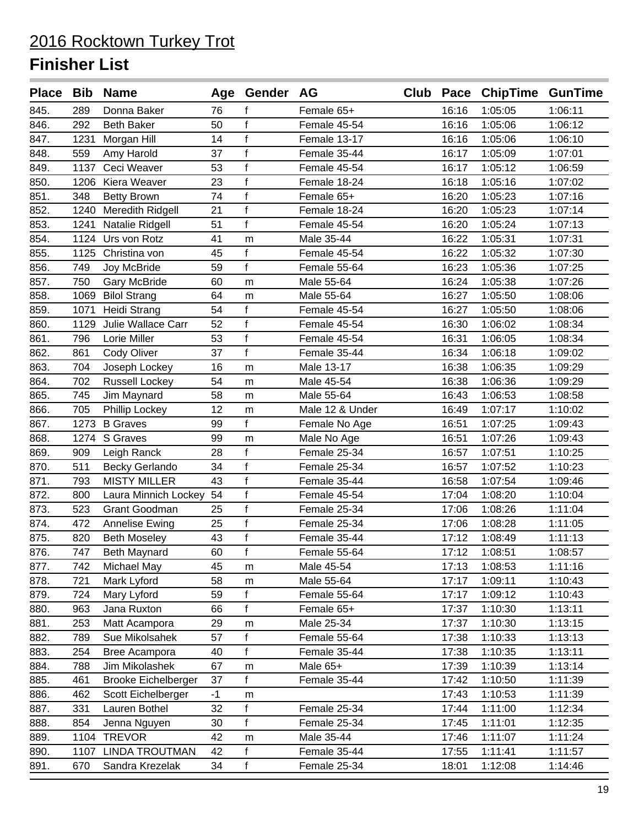|      |      | Place Bib Name             |      | Age Gender AG |                 |       | Club Pace ChipTime GunTime |         |
|------|------|----------------------------|------|---------------|-----------------|-------|----------------------------|---------|
| 845. | 289  | Donna Baker                | 76   | f             | Female 65+      | 16:16 | 1:05:05                    | 1:06:11 |
| 846. | 292  | <b>Beth Baker</b>          | 50   | $\mathsf{f}$  | Female 45-54    | 16:16 | 1:05:06                    | 1:06:12 |
| 847. | 1231 | Morgan Hill                | 14   | $\mathsf f$   | Female 13-17    | 16:16 | 1:05:06                    | 1:06:10 |
| 848. | 559  | Amy Harold                 | 37   | $\mathsf{f}$  | Female 35-44    | 16:17 | 1:05:09                    | 1:07:01 |
| 849. | 1137 | Ceci Weaver                | 53   | f             | Female 45-54    | 16:17 | 1:05:12                    | 1:06:59 |
| 850. |      | 1206 Kiera Weaver          | 23   | $\mathsf{f}$  | Female 18-24    | 16:18 | 1:05:16                    | 1:07:02 |
| 851. | 348  | <b>Betty Brown</b>         | 74   | $\mathsf f$   | Female 65+      | 16:20 | 1:05:23                    | 1:07:16 |
| 852. | 1240 | Meredith Ridgell           | 21   | f             | Female 18-24    | 16:20 | 1:05:23                    | 1:07:14 |
| 853. | 1241 | Natalie Ridgell            | 51   | f             | Female 45-54    | 16:20 | 1:05:24                    | 1:07:13 |
| 854. | 1124 | Urs von Rotz               | 41   | m             | Male 35-44      | 16:22 | 1:05:31                    | 1:07:31 |
| 855. | 1125 | Christina von              | 45   | f             | Female 45-54    | 16:22 | 1:05:32                    | 1:07:30 |
| 856. | 749  | Joy McBride                | 59   | $\mathbf{f}$  | Female 55-64    | 16:23 | 1:05:36                    | 1:07:25 |
| 857. | 750  | Gary McBride               | 60   | m             | Male 55-64      | 16:24 | 1:05:38                    | 1:07:26 |
| 858. | 1069 | <b>Bilol Strang</b>        | 64   | m             | Male 55-64      | 16:27 | 1:05:50                    | 1:08:06 |
| 859. | 1071 | <b>Heidi Strang</b>        | 54   | $\mathsf{f}$  | Female 45-54    | 16:27 | 1:05:50                    | 1:08:06 |
| 860. | 1129 | Julie Wallace Carr         | 52   | $\mathsf f$   | Female 45-54    | 16:30 | 1:06:02                    | 1:08:34 |
| 861. | 796  | Lorie Miller               | 53   | $\mathsf{f}$  | Female 45-54    | 16:31 | 1:06:05                    | 1:08:34 |
| 862. | 861  | Cody Oliver                | 37   | f             | Female 35-44    | 16:34 | 1:06:18                    | 1:09:02 |
| 863. | 704  | Joseph Lockey              | 16   | m             | Male 13-17      | 16:38 | 1:06:35                    | 1:09:29 |
| 864. | 702  | <b>Russell Lockey</b>      | 54   | m             | Male 45-54      | 16:38 | 1:06:36                    | 1:09:29 |
| 865. | 745  | Jim Maynard                | 58   | m             | Male 55-64      | 16:43 | 1:06:53                    | 1:08:58 |
| 866. | 705  | Phillip Lockey             | 12   | m             | Male 12 & Under | 16:49 | 1:07:17                    | 1:10:02 |
| 867. | 1273 | <b>B</b> Graves            | 99   | $\mathsf{f}$  | Female No Age   | 16:51 | 1:07:25                    | 1:09:43 |
| 868. | 1274 | S Graves                   | 99   | m             | Male No Age     | 16:51 | 1:07:26                    | 1:09:43 |
| 869. | 909  | Leigh Ranck                | 28   | f             | Female 25-34    | 16:57 | 1:07:51                    | 1:10:25 |
| 870. | 511  | Becky Gerlando             | 34   | $\mathsf{f}$  | Female 25-34    | 16:57 | 1:07:52                    | 1:10:23 |
| 871. | 793  | <b>MISTY MILLER</b>        | 43   | $\mathsf f$   | Female 35-44    | 16:58 | 1:07:54                    | 1:09:46 |
| 872. | 800  | Laura Minnich Lockey       | 54   | $\mathsf{f}$  | Female 45-54    | 17:04 | 1:08:20                    | 1:10:04 |
| 873. | 523  | Grant Goodman              | 25   | $\mathsf{f}$  | Female 25-34    | 17:06 | 1:08:26                    | 1:11:04 |
| 874. | 472  | Annelise Ewing             | 25   | $\mathsf{f}$  | Female 25-34    | 17:06 | 1:08:28                    | 1:11:05 |
| 875. | 820  | <b>Beth Moseley</b>        | 43   | $\mathsf{f}$  | Female 35-44    | 17:12 | 1:08:49                    | 1:11:13 |
| 876. | 747  | Beth Maynard               | 60   | f             | Female 55-64    | 17:12 | 1:08:51                    | 1:08:57 |
| 877. | 742  | <b>Michael May</b>         | 45   | m             | Male 45-54      | 17:13 | 1:08:53                    | 1:11:16 |
| 878. | 721  | Mark Lyford                | 58   | m             | Male 55-64      | 17:17 | 1:09:11                    | 1:10:43 |
| 879. | 724  | Mary Lyford                | 59   | f             | Female 55-64    | 17:17 | 1:09:12                    | 1:10:43 |
| 880. | 963  | Jana Ruxton                | 66   | f             | Female 65+      | 17:37 | 1:10:30                    | 1:13:11 |
| 881. | 253  | Matt Acampora              | 29   | m             | Male 25-34      | 17:37 | 1:10:30                    | 1:13:15 |
| 882. | 789  | Sue Mikolsahek             | 57   | f             | Female 55-64    | 17:38 | 1:10:33                    | 1:13:13 |
| 883. | 254  | Bree Acampora              | 40   | f             | Female 35-44    | 17:38 | 1:10:35                    | 1:13:11 |
| 884. | 788  | Jim Mikolashek             | 67   | m             | Male 65+        | 17:39 | 1:10:39                    | 1:13:14 |
| 885. | 461  | <b>Brooke Eichelberger</b> | 37   | f             | Female 35-44    | 17:42 | 1:10:50                    | 1:11:39 |
| 886. | 462  | Scott Eichelberger         | $-1$ | m             |                 | 17:43 | 1:10:53                    | 1:11:39 |
| 887. | 331  | Lauren Bothel              | 32   | f             | Female 25-34    | 17:44 | 1:11:00                    | 1:12:34 |
| 888. | 854  | Jenna Nguyen               | 30   | f             | Female 25-34    | 17:45 | 1:11:01                    | 1:12:35 |
| 889. | 1104 | <b>TREVOR</b>              | 42   | m             | Male 35-44      | 17:46 | 1:11:07                    | 1:11:24 |
| 890. | 1107 | <b>LINDA TROUTMAN</b>      | 42   | f             | Female 35-44    | 17:55 | 1:11:41                    | 1:11:57 |
| 891. | 670  | Sandra Krezelak            | 34   | f             | Female 25-34    | 18:01 | 1:12:08                    | 1:14:46 |